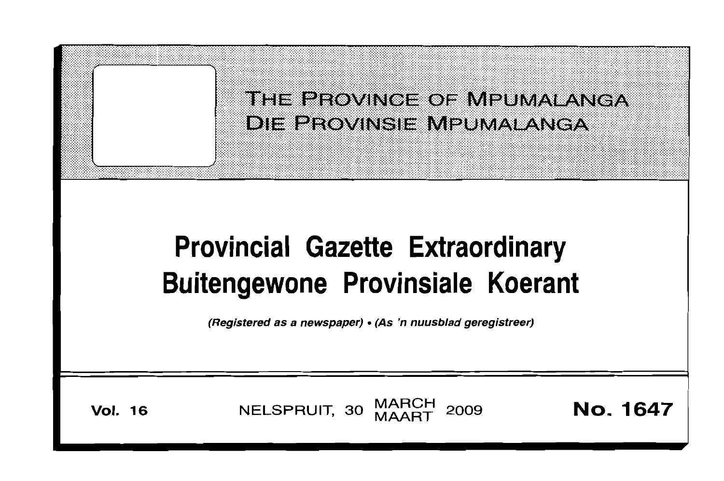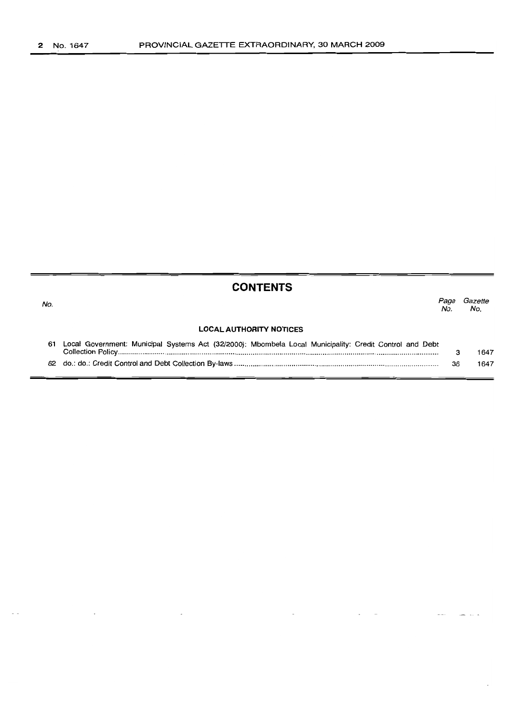|     | <b>CONTENTS</b>                                                                                         |             |                |
|-----|---------------------------------------------------------------------------------------------------------|-------------|----------------|
| No. |                                                                                                         | Page<br>No. | Gazette<br>No. |
|     | <b>LOCAL AUTHORITY NOTICES</b>                                                                          |             |                |
| 61  | Local Government: Municipal Systems Act (32/2000): Mbombela Local Municipality: Credit Control and Debt | з           | 1647           |
| 62  |                                                                                                         | 36          | 1647           |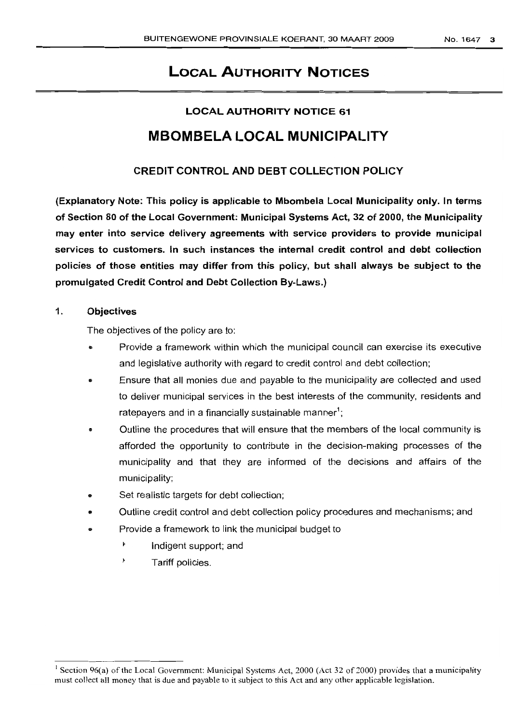# LOCAL AUTHORITY NOTICES

# LOCAL AUTHORITY NOTICE 61 MBOMBELA LOCAL MUNICIPALITY

### CREDIT CONTROL AND DEBT COLLECTION POLICY

(Explanatory Note: This policy is applicable to Mbombela Local Municipality only. In terms of Section 80 of the Local Government: Municipal Systems Act, 32 of 2000, the Municipality may enter into service delivery agreements with service providers to provide municipal services to customers. In such instances the internal credit control and debt collection policies of those entities may differ from this policy, but shall always be subject to the promulgated Credit Control and Debt Collection By-Laws.)

### 1. Objectives

The objectives of the policy are to:

- Provide a framework within which the municipal council can exercise its executive and legislative authority with regard to credit control and debt collection;
- Ensure that all monies due and payable to the municipality are collected and used to deliver municipal services in the best interests of the community, residents and ratepayers and in a financially sustainable manner<sup>1</sup>;
- Outline the procedures that will ensure that the members of the local community is afforded the opportunity to contribute in the decision-making processes of the municipality and that they are informed of the decisions and affairs of the municipality;
- Set realistic targets for debt collection;
- Outline credit control and debt collection policy procedures and mechanisms; and
- Provide a framework to link the municipal budget to
	- Indigent support; and
	- Tariff policies.

<sup>&</sup>lt;sup>1</sup> Section 96(a) of the Local Government: Municipal Systems Act, 2000 (Act 32 of 2000) provides that a municipality must collect all money that is due and payable to it subject to this Act and any other applicable legislation.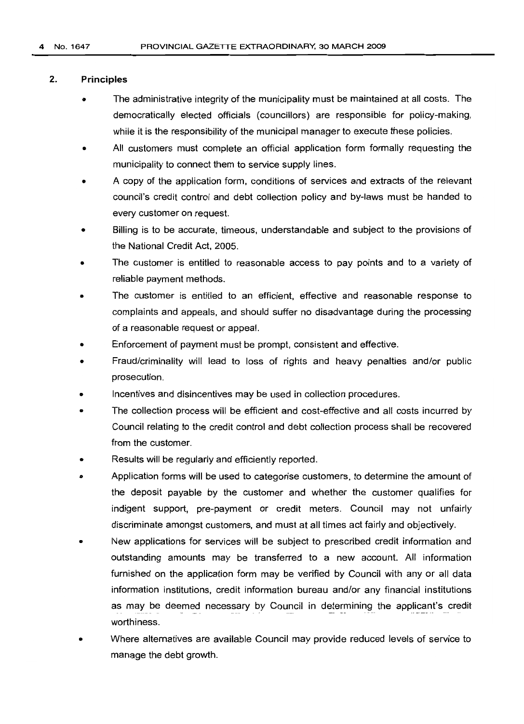### 2. **Principles**

- The administrative integrity of the municipality must be maintained at all costs. The democratically elected officials (councillors) are responsible for policy-making, while it is the responsibility of the municipal manager to execute these policies.
- All customers must complete an official application form formally requesting the municipality to connect them to service supply lines.
- A copy of the application form, conditions of services and extracts of the relevant council's credit control and debt collection policy and by-laws must be handed to every customer on request.
- Billing is to be accurate, timeous, understandable and subject to the provisions of the National Credit Act, 2005.
- The customer is entitled to reasonable access to pay points and to a variety of reliable payment methods.
- The customer is entitled to an efficient, effective and reasonable response to complaints and appeals, and should suffer no disadvantage during the processing of a reasonable request or appeal.
- Enforcement of payment must be prompt, consistent and effective.
- Fraud/criminality will lead to loss of rights and heavy penalties and/or public prosecution.
- Incentives and disincentives may be used in collection procedures.
- The collection process will be efficient and cost-effective and all costs incurred by Council relating to the credit control and debt collection process shall be recovered from the customer.
- Results will be regularly and efficiently reported.
- Application forms will be used to categorise customers, to determine the amount of the deposit payable by the customer and whether the customer qualifies for indigent support, pre-payment or credit meters. Council may not unfairly discriminate amongst customers, and must at all times act fairly and objectively.
- New applications for services will be subject to prescribed credit information and outstanding amounts may be transferred to a new account. All information furnished on the application form may be verified by Council with any or all data information institutions, credit information bureau and/or any financial institutions as may be deemed necessary by Council in determining the applicant's credit worthiness.
- Where alternatives are available Council may provide reduced levels of service to manage the debt growth.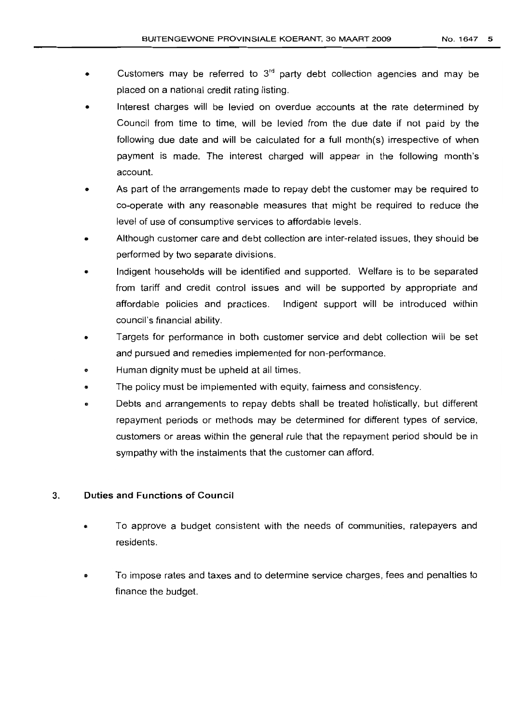- Interest charges will be levied on overdue accounts at the rate determined by Council from time to time, will be levied from the due date if not paid by the following due date and will be calculated for a full month(s) irrespective of when payment is made. The interest charged will appear in the following month's account.
- As part of the arrangements made to repay debt the customer may be required to co-operate with any reasonable measures that might be required to reduce the level of use of consumptive services to affordable levels.
- Although customer care and debt collection are inter-related issues, they should be performed by two separate divisions.
- Indigent households will be identified and supported. Welfare is to be separated from tariff and credit control issues and will be supported by appropriate and affordable policies and practices. Indigent support will be introduced within council's financial ability.
- Targets for performance in both customer service and debt collection will be set and pursued and remedies implemented for non-performance.
- Human dignity must be upheld at all times.

placed on a national credit rating listing.

- The policy must be implemented with equity, fairness and consistency.
- .. Debts and arrangements to repay debts shall be treated holistically, but different repayment periods or methods may be determined for different types of service, customers or areas within the general rule that the repayment period should be in sympathy with the instalments that the customer can afford.

### 3. **Duties and Functions of Council**

- .. To approve a budget consistent with the needs of communities, ratepayers and residents.
- To impose rates and taxes and to determine service charges, fees and penalties to finance the budget.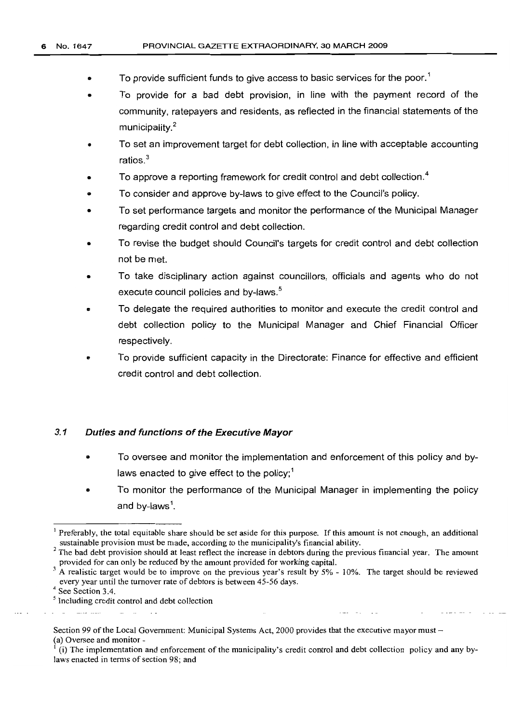- To provide sufficient funds to give access to basic services for the poor.<sup>1</sup>
- To provide for a bad debt provision, in line with the payment record of the community, ratepayers and residents, as reflected in the financial statements of the municipality.<sup>2</sup>
- To set an improvement target for debt collection, in line with acceptable accounting ratios. $3$
- To approve a reporting framework for credit control and debt collection.<sup>4</sup>
- To consider and approve by-laws to give effect to the Council's policy.
- To set performance targets and monitor the performance of the Municipal Manager regarding credit control and debt collection.
- To revise the budget should Council's targets for credit control and debt collection not be met.
- To take disciplinary action against councillors, officials and agents who do not execute council policies and by-laws.<sup>5</sup>
- To delegate the required authorities to monitor and execute the credit control and debt collection policy to the Municipal Manager and Chief Financial Officer respectively.
- To provide sufficient capacity in the Directorate: Finance for effective and efficient credit control and debt collection.

## *3.1* **Duties and functions ofthe Executive Mayor**

- To oversee and monitor the implementation and enforcement of this policy and bylaws enacted to give effect to the policy;<sup>1</sup>
- To monitor the performance of the Municipal Manager in implementing the policy and by-laws'.

Preferably, the total equitable share should be set aside for this purpose. If this amount is not enough, an additional sustainable provision must be made, according to the municipality's financial ability.

 $2$  The bad debt provision should at least reflect the increase in debtors during the previous financial year. The amount provided for can only be reduced by the amount provided for working capital.

<sup>3</sup> A realistic target would be to improve on the previous year's result by 5% - 10%. The target should be reviewed every year until the turnover rate of debtors is between 45-56 days.

<sup>&</sup>lt;sup>4</sup> See Section 3.4.

<sup>&</sup>lt;sup>5</sup> Including credit control and debt collection

Section 99 of the Local Government: Municipal Systems Act, 2000 provides that the executive mayor must-(a) Oversee and monitor-

<sup>I</sup> (i) The implementation and enforcement of the municipality's credit control and debt collection policy and any bylaws enacted in terms of section 98; and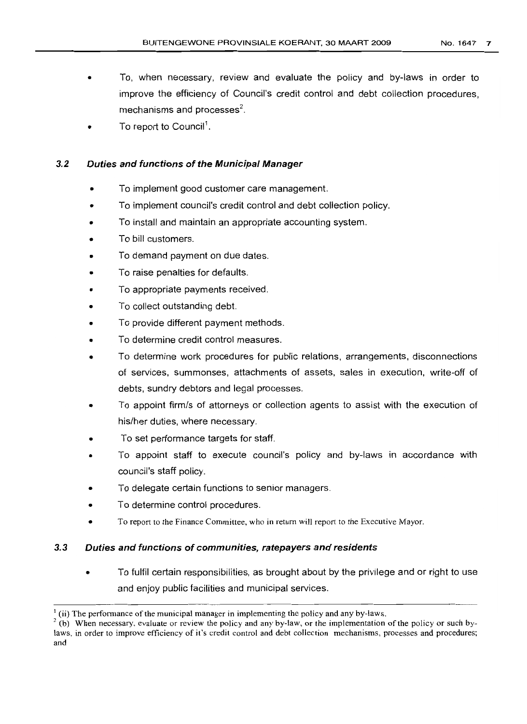- To, when necessary, review and evaluate the policy and by-laws in order to improve the efficiency of Council's credit control and debt collection procedures, mechanisms and processes $2$ .
- To report to Council<sup>1</sup>.

### **3.2 Duties and functions of the Municipal Manager**

- To implement good customer care management.
- To implement council's credit control and debt collection policy.
- To install and maintain an appropriate accounting system.
- To bill customers.
- To demand payment on due dates.
- To raise penalties for defaults.
- To appropriate payments received.
- To collect outstanding debt.
- To provide different payment methods.
- To determine credit control measures.
- To determine work procedures for public relations, arrangements, disconnections of services, summonses, attachments of assets, sales in execution, write-off of debts, sundry debtors and legal processes.
- To appoint firm/s of attorneys or collection agents to assist with the execution of his/her duties, where necessary.
- To set performance targets for staff.
- To appoint staff to execute council's policy and by-laws in accordance with council's staff policy.
- To delegate certain functions to senior managers.
- To determine control procedures.
- To report to the Finance Committee, who in return will report to the Executive Mayor.

### **3.3 Duties and functions of communities, ratepayers** *end* **residents**

• To fulfil certain responsibilities, as brought about by the privilege and or right to use and enjoy public facilities and municipal services.

 $<sup>1</sup>$  (ii) The performance of the municipal manager in implementing the policy and any by-laws.</sup>

 $2$  (b) When necessary, evaluate or review the policy and any by-law, or the implementation of the policy or such bylaws, in order to improve efficiency of it's credit control and debt collection mechanisms, processes and procedures; and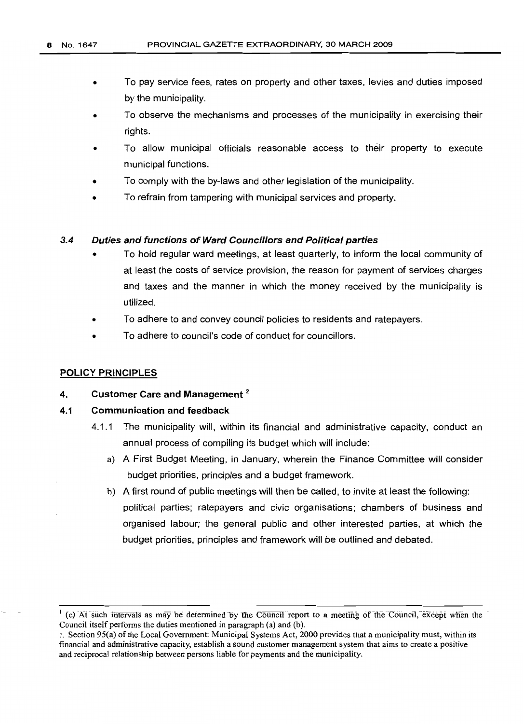- To pay service fees, rates on property and other taxes, levies and duties imposed by the municipality.
- To observe the mechanisms and processes of the municipality in exercising their rights.
- To allow municipal officials reasonable access to their property to execute municipal functions.
- To comply with the by-laws and other legislation of the municipality.
- To refrain from tampering with municipal services and property.

### **3.4 Duties and functions of Ward Councillors and Political parties**

- To hold regular ward meetings, at least quarterly, to inform the local community of at least the costs of service provision, the reason for payment of services charges and taxes and the manner in which the money received by the municipality is utilized.
- To adhere to and convey council policies to residents and ratepayers.
- To adhere to council's code of conduct for councillors.

### **POLICY PRINCiPLES**

### **4. Customer Care and Management** <sup>2</sup>

### **4.1 Communication and feedback**

- 4.1.1 The municipality will, within its financial and administrative capacity, conduct an annual process of compiling its budget which will include:
	- a) A First Budget Meeting, in January, wherein the Finance Committee will consider budget priorities, principles and a budget framework.
	- b) A first round of public meetings will then be called, to invite at least the following: political parties; ratepayers and civic organisations; chambers of business and organised labour; the general public and other interested parties, at which the budget priorities, principles and framework will be outlined and debated.

 $I$  (c) At such intervals as may be determined by the Council report to a meeting of the Council, except when the Council itself performs the duties mentioned in paragraph (a) and (b).

<sup>1.</sup> Section 95(a) ofthe Local Government: Municipal Systems Act, 2000 provides that a municipality must, within its financial and administrative capacity, establish a sound customer management system that aims to create a positive and reciprocal relationship between persons liable for payments and the municipality.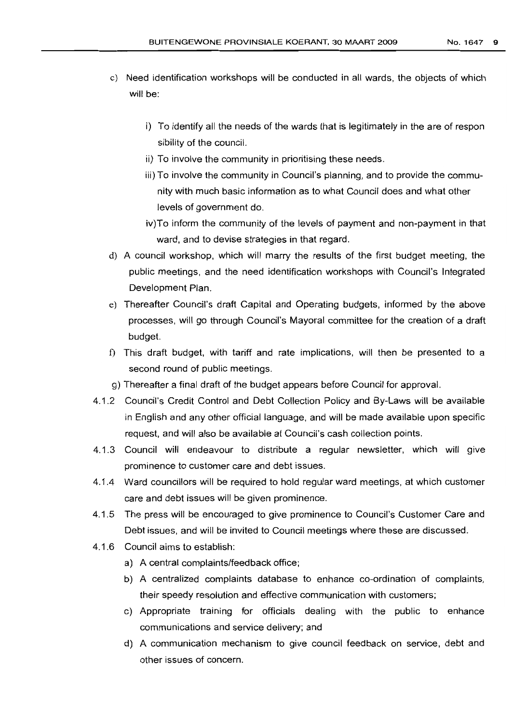- c) Need identification workshops will be conducted in all wards, the objects of which will be:
	- i) To identify all the needs of the wards that is legitimately in the are of respon sibility of the council.
	- ii) To involve the community in prioritising these needs.
	- iii) To involve the community in Council's planning, and to provide the community with much basic information as to what Council does and what other levels of government do.
	- iv)To inform the community of the levels of payment and non-payment in that ward, and to devise strategies in that regard.
- d) A council workshop, which will marry the results of the first budget meeting, the public meetings, and the need identification workshops with Council's Integrated Development Plan.
- e) Thereafter Council's draft Capital and Operating budgets, informed by the above processes, will go through Council's Mayoral committee for the creation of a draft budget.
- f) This draft budget, with tariff and rate implications, will then be presented to a second round of public meetings.
- g) Thereafter a final draft of the budget appears before Council for approval.
- 4.1.2 Council's Credit Control and Debt Collection Policy and By-Laws will be available in English and any other official language, and will be made available upon specific request, and will also be available at Council's cash collection points.
- 4.1.3 Council will endeavour to distribute a regular newsletter, which will give prominence to customer care and debt issues.
- 4.1.4 Ward councillors will be required to hold regular ward meetings, at which customer care and debt issues will be given prominence.
- 4.1.5 The press will be encouraged to give prominence to Council's Customer Care and Debt issues, and will be invited to Council meetings where these are discussed.
- 4.1.6 Council aims to establish:
	- a) A central complaints/feedback office;
	- b) A centralized complaints database to enhance co-ordination of complaints, their speedy resolution and effective communication with customers;
	- c) Appropriate training for officials dealing with the public to enhance communications and service delivery; and
	- d) A communication mechanism to give council feedback on service, debt and other issues of concern.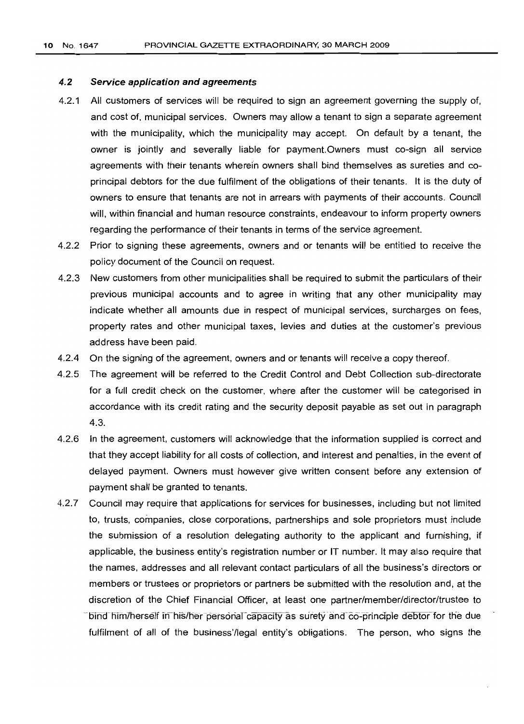#### 4.2 Service application and agreements

- 4.2.1 All customers of services will be required to sign an agreement governing the supply of, and cost of, municipal services. Owners may allow a tenant to sign a separate agreement with the municipality, which the municipality may accept. On default by a tenant, the owner is jointly and severally liable for payment.Owners must co-sign all service agreements with their tenants wherein owners shall bind themselves as sureties and coprincipal debtors for the due fulfilment of the obligations of their tenants. It is the duty of owners to ensure that tenants are not in arrears with payments of their accounts. Council will, within financial and human resource constraints, endeavour to inform property owners regarding the performance of their tenants in terms of the service agreement.
- 4.2.2 Prior to signing these agreements, owners and or tenants will be entitled to receive the policy document of the Council on request.
- 4.2.3 New customers from other municipalities shall be required to submit the particulars of their previous municipal accounts and to agree in writing that any other municipality may indicate whether all amounts due in respect of municipal services, surcharges on fees, property rates and other municipal taxes, levies and duties at the customer's previous address have been paid.
- 4.2.4 On the signing of the agreement, owners and or tenants will receive a copy thereof.
- 4.2.5 The agreement will be referred to the Credit Control and Debt Collection sub-directorate for a full credit check on the customer, where after the customer will be categorised in accordance with its credit rating and the security deposit payable as set out in paragraph 4.3.
- 4.2.6 In the agreement, customers will acknowledge that the information supplied is correct and that they accept liability for all costs of collection, and interest and penalties, in the event of delayed payment. Owners must however give written consent before any extension of payment shall be granted to tenants.
- 4.2.7 Council may require that applications for services for businesses, including but not limited to, trusts, companies, close corporations, partnerships and sole proprietors must include the submission of a resolution delegating authority to the applicant and furnishing, if applicable, the business entity's registration number or IT number. It may also require that the names, addresses and all relevant contact particulars of all the business's directors or members or trustees or proprietors or partners be submitted with the resolution and, at the discretion of the Chief Financial Officer, at least one partner/member/director/trustee to -bind him/herself in his/her personal capacity as surety and co-principle debtor for the due fulfilment of all of the business'/legal entity's obligations. The person, who signs the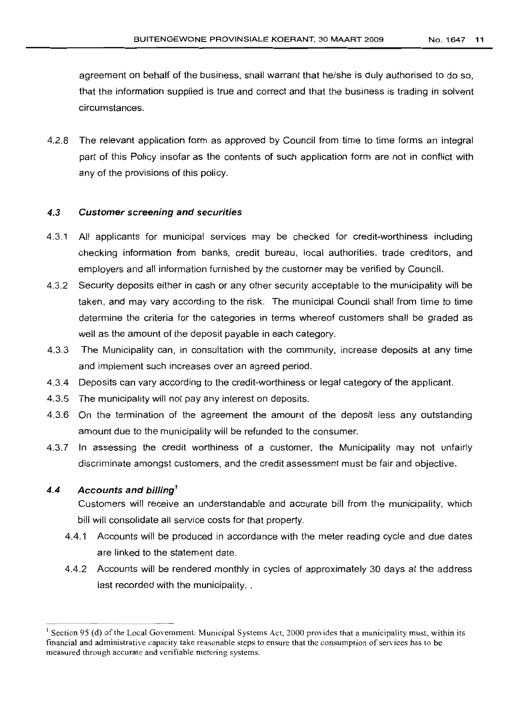agreement on behalf of the business, shall warrant that he/she is duly authorised to do so, that the information supplied is true and correct and that the business is trading in solvent circumstances.

4.2.8 The relevant application form as approved by Council from time to time forms an integral part of this Policy insofar as the contents of such application form are not in conflict with any of the provisions of this policy.

#### 4.3 **Customer screening and securities**

- 4.3.1 All applicants for municipal services may be checked for credit-worthiness including checking information from banks, credit bureau, local authorities, trade creditors, and employers and all information furnished by the customer may be verified by Council.
- 4.3.2 Security deposits either in cash or any other security acceptable to the municipality will be taken, and may vary according to the risk. The municipal Council shall from time to time determine the criteria for the categories in terms whereof customers shall be graded as well as the amount of the deposit payable in each category.
- 4.3.3 The Municipality can, in consultation with the community, increase deposits at any time and implement such increases over an agreed period.
- 4.3.4 Deposits can vary according to the credit-worthiness or legal category of the applicant.
- 4.3.5 The municipality will not pay any interest on deposits.
- 4.3.6 On the termination of the agreement the amount of the deposit less any outstanding amount due to the municipality will be refunded to the consumer.
- 4.3.7 In assessing the credit worthiness of a customer, the Municipality may not unfairly discriminate amongst customers, and the credit assessment must be fair and objective.

### **4.4 Accounts and billing***<sup>1</sup>*

Customers will receive an understandable and accurate bill from the municipality, which bill will consolidate all service costs for that property.

- 4.4.1 Accounts will be produced in accordance with the meter reading cycle and due dates are linked to the statement date.
- 4.4.2 Accounts will be rendered monthly in cycles of approximately 30 days at the address last recorded with the municipality...

<sup>&</sup>lt;sup>1</sup> Section 95 (d) of the Local Government: Municipal Systems Act, 2000 provides that a municipality must, within its financial and administrative capacity take reasonable steps to ensure that the consumption of services has to be measured through accurate and verifiable metering systems.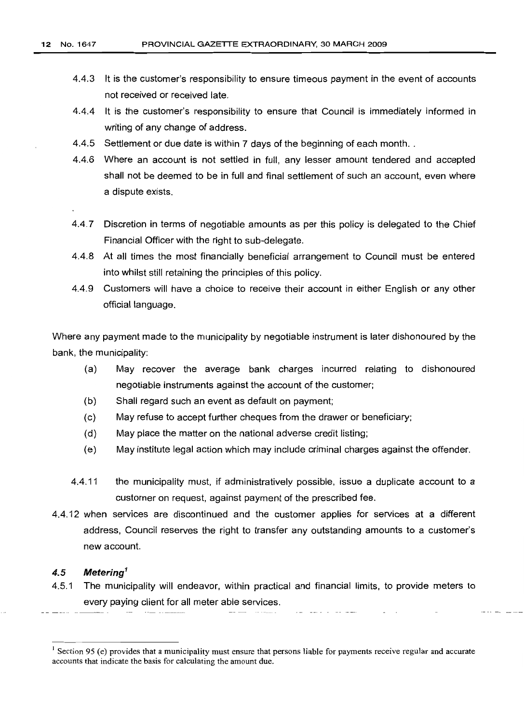- 4.4.3 It is the customer's responsibility to ensure timeous payment in the event of accounts not received or received late.
- 4.4.4 It is the customer's responsibility to ensure that Council is immediately informed in writing of any change of address.
- 4.4.5 Settlement or due date is within 7 days of the beginning of each month..
- 4.4.6 Where an account is not settled in full, any lesser amount tendered and accepted shall not be deemed to be in full and final settlement of such an account, even where a dispute exists.
- 4.4.7 Discretion in terms of negotiable amounts as per this policy is delegated to the Chief Financial Officer with the right to sub-delegate.
- 4.4.8 At all times the most financially beneficial arrangement to Council must be entered into whilst still retaining the principles of this policy.
- 4.4.9 Customers will have a choice to receive their account in either English or any other official language.

Where any payment made to the municipality by negotiable instrument is later dishonoured by the bank, the municipality:

- (a) May recover the average bank charges incurred relating to dishonoured negotiable instruments against the account of the customer;
- (b) Shall regard such an event as default on payment;
- (c) May refuse to accept further cheques from the drawer or beneficiary;
- (d) May place the matter on the national adverse credit listing;
- (e) May institute legal action which may include criminal charges against the offender.
- 4.4.11 the municipality must, if administratively possible, issue a duplicate account to a customer on request, against payment of the prescribed fee.
- 4.4.12 when services are discontinued and the customer applies for services at a different address, Council reserves the right to transfer any outstanding amounts to a customer's new account.

### 4.5 Meterina<sup>1</sup>

4.5.1 The municipality will endeavor, within practical and financial limits, to provide meters to every paying client for all meter able services.

 $<sup>1</sup>$  Section 95 (e) provides that a municipality must ensure that persons liable for payments receive regular and accurate</sup> accounts that indicate the basis for calculating the amount due.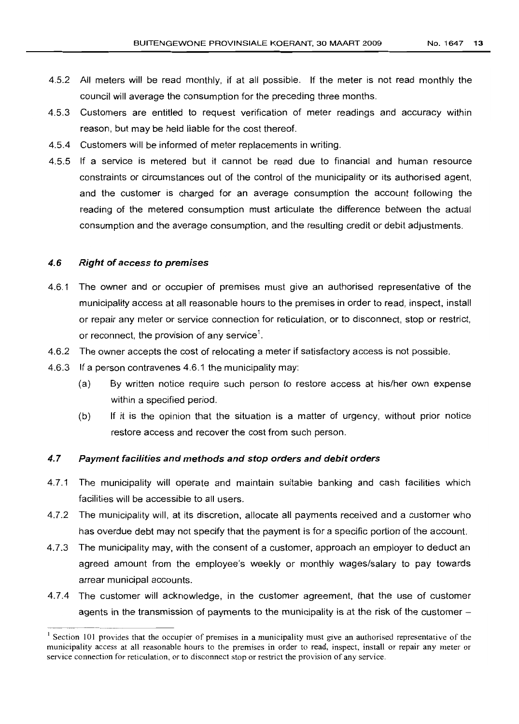- 4.5.2 All meters will be read monthly, if at all possible. If the meter is not read monthly the council will average the consumption for the preceding three months.
- 4.5.3 Customers are entitled to request verification of meter readings and accuracy within reason, but may be held liable for the cost thereof.
- 4.5.4 Customers will be informed of meter replacements in writing.
- 4.5.5 If a service is metered but it cannot be read due to financial and human resource constraints or circumstances out of the control of the municipality or its authorised agent, and the customer is charged for an average consumption the account following the readinq of the metered consumption must articulate the difference between the actual consumption and the average consumption, and the resulting credit or debit adjustments.

#### 4.6 Right of access to premises

- 4.6.1 The owner and or occupier of premises must give an authorised representative of the municipality access at all reasonable hours to the premises in order to read, inspect, install or repair any meter or service connection for reticulation, or to disconnect, stop or restrict, or reconnect, the provision of any service<sup>1</sup>.
- 4.6.2 The owner accepts the cost of relocating a meter if satisfactory access is not possible.
- 4.6.3 If a person contravenes 4.6.1 the municipality may:
	- (a) By written notice require such person to restore access at his/her own expense within a specified period.
	- (b) If it is the opinion that the situation is a matter of urgency, without prior notice restore access and recover the cost from such person.

#### 4.7 Payment facilities and methods and stop orders and debit orders

- 4.7.1 The municipality will operate and maintain suitable banking and cash facilities which facilities will be accessible to all users.
- 4.7.2 The municipality will, at its discretion, allocate all payments received and a customer who has overdue debt may not specify that the payment is for a specific portion of the account.
- 4.7.3 The municipality may, with the consent of a customer, approach an employer to deduct an agreed amount from the employee's weekly or monthly wages/salary to pay towards arrear municipal accounts.
- 4.7.4 The customer will acknowledge, in the customer agreement, that the use of customer agents in the transmission of payments to the municipality is at the risk of the customer –

<sup>&</sup>lt;sup>1</sup> Section 101 provides that the occupier of premises in a municipality must give an authorised representative of the municipality access at all reasonable hours to the premises in order to read, inspect, install or repair any meter or service connection for reticulation, or to disconnect stop or restrict the provision of any service.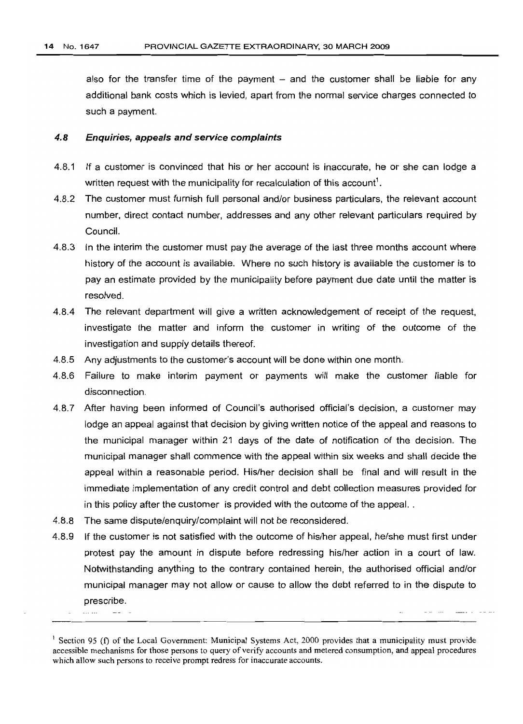$\cdots$ 

 $\sim$   $\sim$ 

also for the transfer time of the payment  $-$  and the customer shall be liable for any additional bank costs which is levied, apart from the normal service charges connected to such a payment.

#### 4.8 Enquiries, appeals and service complaints

- 4.8.1 If a customer is convinced that his or her account is inaccurate, he or she can lodge a written request with the municipality for recalculation of this account<sup>1</sup>.
- 4.8.2 The customer must furnish full personal and/or business particulars, the relevant account number, direct contact number, addresses and any other relevant particulars required by Council.
- 4.8.3 In the interim the customer must pay the average of the last three months account where history of the account is available. Where no such history is available the customer is to pay an estimate provided by the municipality before payment due date until the matter is resolved.
- 4.8.4 The relevant department will give a written acknowledgement of receipt of the request, investigate the matter and inform the customer in writing of the outcome of the investigation and supply details thereof.
- 4.8.5 Any adjustments to the customer's account will be done within one month.
- 4.8.6 Failure to make interim payment or payments will make the customer liable for disconnection.
- 4.8.7 After having been informed of Council's authorised official's decision, a customer may lodge an appeal against that decision by giving written notice of the appeal and reasons to the municipal manager within 21 days of the date of notification of the decision. The municipal manager shall commence with the appeal within six weeks and shall decide the appeal within a reasonable period. His/her decision shall be final and will result in the immediate implementation of any credit control and debt collection measures provided for in this policy after the customer is provided with the outcome of the appeal. .
- 4.8.8 The same dispute/enquiry/complaint will not be reconsidered.
- 4.8.9 If the customer is not satisfied with the outcome of his/her appeal, he/she must first under protest pay the amount in dispute before redressing his/her action in a court of law. Notwithstanding anything to the contrary contained herein, the authorised official and/or municipal manager may not allow or cause to allow the debt referred to in the dispute to prescribe.

<sup>&</sup>lt;sup>1</sup> Section 95 (f) of the Local Government: Municipal Systems Act, 2000 provides that a municipality must provide accessible mechanisms for those persons to query of verify accounts and metered consumption, and appeal procedures which allow such persons to receive prompt redress for inaccurate accounts.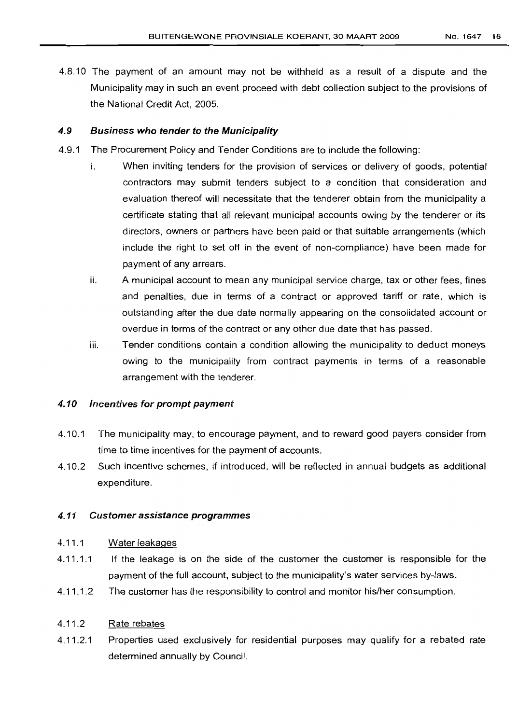4.8.10 The payment of an amount may not be withheld as a result of a dispute and the Municipality may in such an event proceed with debt collection subject to the provisions of the National Credit Act, 2005.

#### 4.9 Business who tender to the Municipality

- 4.9.1 The Procurement Policy and Tender Conditions are to include the following:
	- i. When inviting tenders for the provision of services or delivery of goods, potential contractors may submit tenders subject to a condition that consideration and evaluation thereof will necessitate that the tenderer obtain from the municipality a certificate stating that all relevant municipal accounts owing by the tenderer or its directors, owners or partners have been paid or that suitable arrangements (which include the right to set off in the event of non-compliance) have been made for payment of any arrears.
	- ii. A municipal account to mean any municipal service charge, tax or other fees, fines and penalties, due in terms of a contract or approved tariff or rate, which is outstanding after the due date normally appearing on the consolidated account or overdue in terms of the contract or any other due date that has passed.
	- iii. Tender conditions contain a condition allowinq the municipality to deduct moneys owing to the municipality from contract payments in terms of a reasonable arrangement with the tenderer.

#### 4.10 Incentives for prompt payment

- 4.10.1 The municipality may, to encourage payment, and to reward good payers consider from time to time incentives for the payment of accounts.
- 4.10.2 Such incentive schemes, if introduced, will be reflected in annual budgets as additional expenditure.

#### 4.11 Customer assistance programmes

#### 4.11.1 Water leakages

- 4.11.1.1 If the leakage is on the side of the customer the customer is responsible for the payment of the full account, subject to the municipality's water services by-laws.
- 4.11.1.2 The customer has the responsibility to control and monitor his/her consumption.

#### 4.11.2 Rate rebates

4.11.2.1 Properties used exclusively for residential purposes may qualify for a rebated rate determined annually by Council.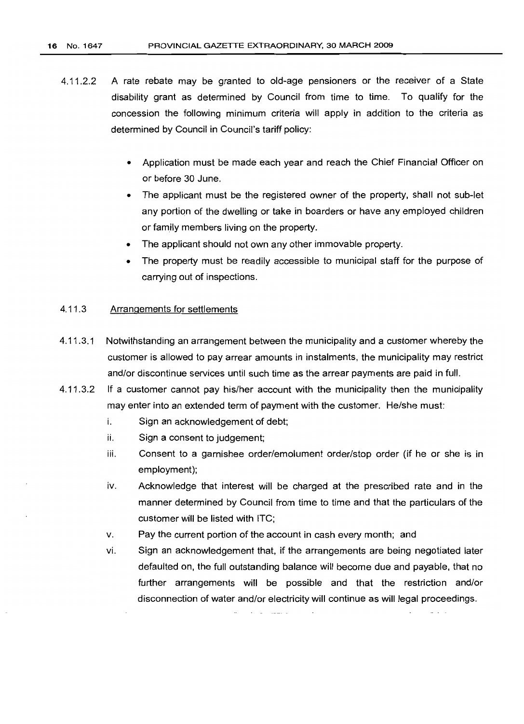- 4.11.2.2 A rate rebate may be granted to old-age pensioners or the receiver of a State disability grant as determined by Council from time to time. To qualify for the concession the following minimum criteria will apply in addition to the criteria as determined by Council in Council's tariff policy:
	- Application must be made each year and reach the Chief Financial Officer on or before 30 June.
	- The applicant must be the registered owner of the property, shall not sub-let any portion of the dwelling or take in boarders or have any employed children or family members living on the property.
	- The applicant should not own any other immovable property.
	- The property must be readily accessible to municipal staff for the purpose of carrying out of inspections.

### 4.11.3 Arrangements for settlements

- 4.11.3.1 Notwithstanding an arrangement between the municipality and a customer whereby the customer is allowed to pay arrear amounts in instalments, the municipality may restrict and/or discontinue services until such time as the arrear payments are paid in full.
- 4.11.3.2 If a customer cannot pay his/her account with the municipality then the municipality may enter into an extended term of payment with the customer. He/she must:
	- i. Sign an acknowledgement of debt;
	- ii. Sign a consent to judgement;
	- iii. Consent to a garnishee order/emolument order/stop order (if he or she is in employment);
	- iv. Acknowledge that interest will be charged at the prescribed rate and in the manner determined by Council from time to time and that the particulars of the customer will be listed with ITC;
	- v. Pay the current portion of the account in cash every month; and
	- vi. Sign an acknowledgement that, if the arrangements are being negotiated later defaulted on, the full outstanding balance will become due and payable, that no further arrangements will be possible and that the restriction and/or disconnection of water and/or electricity will continue as will legal proceedings.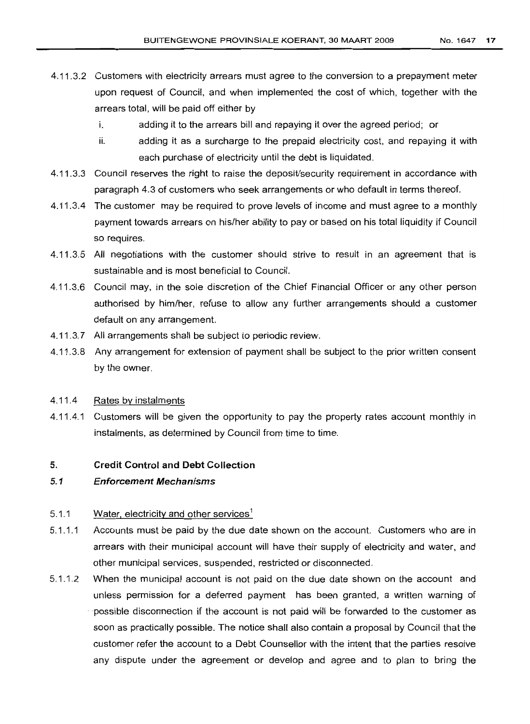- 4.11.3.2 Customers with electricity arrears must agree to the conversion to a prepayment meter upon request of Council, and when implemented the cost of which, together with the arrears total, will be paid off either by
	- i. adding it to the arrears bill and repaying it over the agreed period; or
	- ii. adding it as a surcharge to the prepaid electricity cost, and repaying it with each purchase of electricity until the debt is liquidated.
- 4.11.3.3 Council reserves the right to raise the deposit/security requirement in accordance with paragraph 4.3 of customers who seek arrangements or who default in terms thereof.
- 4.11.3.4 The customer may be required to prove levels of income and must agree to a monthly payment towards arrears on his/her ability to payor based on his total liquidity if Council so requires.
- 4.11.3.5 All negotiations with the customer should strive to result in an agreement that is sustainable and is most beneficial to Council.
- 4.11.3.6 Council may, in the sole discretion of the Chief Financial Officer or any other person authorised by him/her, refuse to allow any further arrangements should a customer default on any arrangement.
- 4.11.3.7 All arrangements shall be subject to periodic review.
- 4.11.3.8 Any arrangement for extension of payment shall be subject to the prior written consent by the owner.

#### 4.11.4 Fates by instalments

4.11.4.1 Customers will be given the opportunity to pay the property rates account monthly in instalments, as determined by Council from time to time.

#### 5. **Credit Control and Debt Collection**

#### 5.1 **Enforcement Mechanisms**

#### 5.1.1 Water, electricity and other services<sup>1</sup>

- 5.1.1.1 Accounts must be paid by the due date shown on the account. Customers who are in arrears with their municipal account will have their supply of electricity and water, and other municipal services, suspended, restricted or disconnected.
- 5.1.1.2 When the municipal account is not paid on the due date shown on the account and unless permission for a deferred payment has been granted, a written warning of . possible disconnection if the account is not paid will be forwarded to the customer as soon as practically possible. The notice shall also contain a proposal by Council that the customer refer the account to a Debt Counsellor with the intent that the parties resolve any dispute under the agreement or develop and agree and to plan to bring the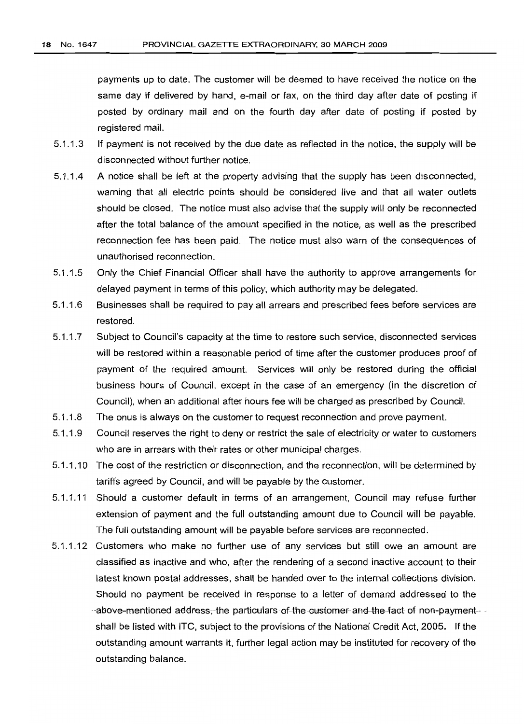payments up to date. The customer will be deemed to have received the notice on the same day if delivered by hand, e-mail or fax, on the third day after date of posting if posted by ordinary mail and on the fourth day after date of posting if posted by registered mail.

- 5.1.1.3 **If** payment is not received by the due date as reflected in the notice, the supply will be disconnected without further notice.
- 5.1.1.4 A notice shall be left at the property advising that the supply has been disconnected, warning that all electric points should be considered live and that all water outlets should be closed. The notice must also advise that the supply will only be reconnected after the total balance of the amount specified in the notice, as well as the prescribed reconnection fee has been paid. The notice must also warn of the consequences of unauthorised reconnection.
- 5.1.1.5 Only the Chief Financial Officer shall have the authority to approve arrangements for delayed payment in terms of this policy, which authority may be delegated.
- 5.1.1.6 Businesses shall be required to pay all arrears and prescribed fees before services are restored.
- 5.1.1.7 Subject to Council's capacity at the time to restore such service, disconnected services will be restored within a reasonable period of time after the customer produces proof of payment of the required amount. Services will only be restored during the official business hours of Council, except in the case of an emergency (in the discretion of Council), when an additional after hours fee will be charged as prescribed by Council.
- 5.1.1.8 The onus is always on the customer to request reconnection and prove payment.
- 5.1.1.9 Council reserves the right to deny or restrict the sale of electricity or water to customers who are in arrears with their rates or other municipal charges.
- 5.1.1.10 The cost of the restriction or disconnection, and the reconnection, will be determined by tariffs agreed by Council, and will be payable by the customer.
- 5.1.1.11 Should a customer default in terms of an arrangement, Council may refuse further extension of payment and the full outstanding amount due to Council will be payable. The full outstanding amount will be payable before services are reconnected.
- 5.1.1.12 Customers who make no further use of any services but still owe an amount are classified as inactive and who, after the rendering of a second inactive account to their latest known postal addresses, shall be handed over to the internal collections division. Should no payment be received in response to a letter of demand addressed to the -above-mentioned address,-the particulars of the customer and the fact of non-paymentshall be listed with lTC, subject to the provisions of the National Credit Act, 2005. If the outstanding amount warrants it, further legal action may be instituted for recovery of the outstanding balance.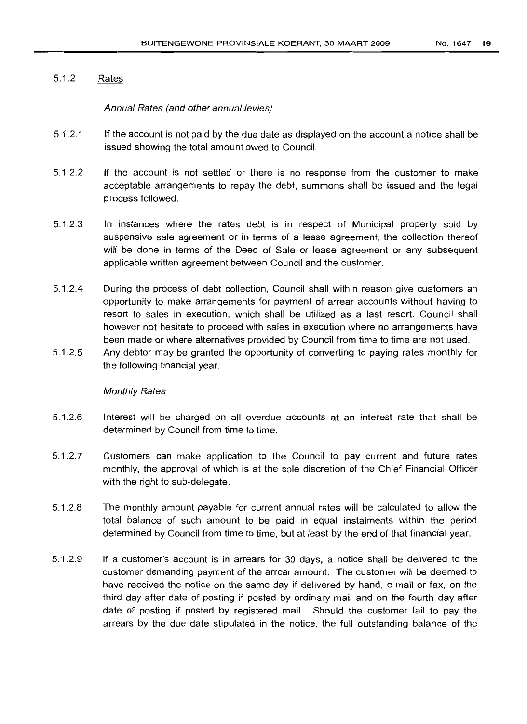### 5.1.2 Rates

### Annual Rates (and other annual levies)

- 5.1.2.1 If the account is not paid by the due date as displayed on the account a notice shall be issued showing the total amount owed to Council.
- 5.1.2.2 If the account is not settled or there is no response from the customer to make acceptable arrangements to repay the debt, summons shall be issued and the legal process followed.
- 5.1.2.3 In instances where the rates debt is in respect of Municipal property sold by suspensive sale agreement or in terms of a lease agreement, the collection thereof will be done in terms of the Deed of Sale or lease agreement or any subsequent applicable written agreement between Council and the customer.
- 5.1.2.4 During the process of debt collection, Council shall within reason give customers an opportunity to make arrangements for payment of arrear accounts without having to resort to sales in execution, which shall be utilized as a last resort. Council shall however not hesitate to proceed with sales in execution where no arrangements have been made or where alternatives provided by Council from time to time are not used.
- 5.1.2.5 Any debtor may be granted the opportunity of converting to paying rates monthly for the following financial year.

### Monthly Rates

- 5.1.2.6 Interest will be charged on all overdue accounts at an interest rate that shall be determined by Council from time to time.
- 5.1.2.7 Customers can make application to the Council to pay current and future rates monthly, the approval of which is at the sole discretion of the Chief Financial Officer with the right to sub-delegate.
- 5.1.2.8 The monthly amount payable for current annual rates will be calculated to allow the total balance of such amount to be paid in equal instalments within the period determined by Council from time to time, but at least by the end of that financial year.
- 5.1.2.9 If a customer's account is in arrears for 30 days, a notice shall be delivered to the customer demanding payment of the arrear amount. The customer will be deemed to have received the notice on the same day if delivered by hand, e-mail or fax, on the third day after date of posting if posted by ordinary mail and on the fourth day after date of posting if posted by registered mail. Should the customer fail to pay the arrears by the due date stipulated in the notice, the full outstanding balance of the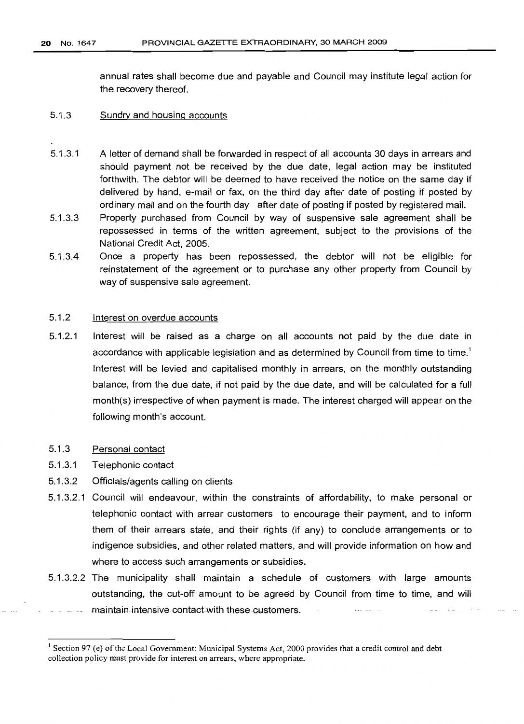annual rates shall become due and payable and Council may institute legal action for the recovery thereof.

#### 5.1.3 Sundry and housing accounts

- 5.1.3.1 A letter of demand shall be forwarded in respect of all accounts 30 days in arrears and should payment not be received by the due date, legal action may be instituted forthwith. The debtor will be deemed to have received the notice on the same day if delivered by hand, e-mail or fax, on the third day after date of posting if posted by ordinary mail and on the fourth day after date of posting if posted by registered mail.
- 5.1.3.3 Property purchased from Council by way of suspensive sale agreement shall be repossessed in terms of the written agreement, subject to the provisions of the National Credit Act, 2005.
- 5.1.3.4 Once a property has been repossessed, the debtor will not be eligible for reinstatement of the agreement or to purchase any other property from Council by way of suspensive sale agreement.

#### 5.1.2 Interest on overdue accounts

- 5.1.2.1 Interest will be raised as a charge on all accounts not paid by the due date in accordance with applicable legislation and as determined by Council from time to time.<sup>1</sup> Interest will be levied and capitalised monthly in arrears, on the monthly outstanding balance, from the due date, if not paid by the due date, and will be calculated for a full month(s) irrespective of when payment is made. The interest charged will appear on the following month's account.
- 5.1.3 Personal contact
- 5.1.3.1 Telephonic contact
- 5.1.3.2 Officials/agents calling on clients
- 5.1.3.2.1 Council will endeavour, within the constraints of affordability, to make personal or telephonic contact with arrear customers to encourage their payment, and to inform them of their arrears state, and their rights (if any) to conclude arrangements or to indigence subsidies, and other related matters, and will provide information on how and where to access such arrangements or subsidies.
- 5.1.3.2.2 The municipality shall maintain a schedule of customers with large amounts outstanding, the cut-off amount to be agreed by Council from time to time, and will maintain intensive contact-with these customers.

<sup>&</sup>lt;sup>1</sup> Section 97 (e) of the Local Government: Municipal Systems Act, 2000 provides that a credit control and debt collection policy must provide for interest on arrears, where appropriate.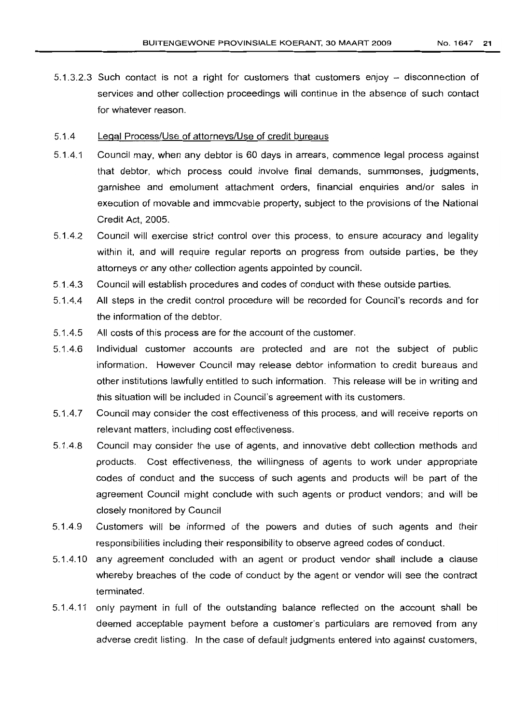5.1.3.2.3 Such contact is not a right for customers that customers enjoy -- disconnection of services and other collection proceedings will continue in the absence of such contact for whatever reason.

#### 5.1.4 Legal Process/Use of attorneys/Use of credit bureaus

- 5.1.4.1 Council may, when any debtor is 60 days in arrears, commence legal process against that debtor, which process could involve final demands, summonses, judgments, garnishee and emolument attachment orders, financial enquiries and/or sales in execution of movable and immovable property, subject to the provisions of the National Credit Act, 2005.
- 5.1.4.2 Council will exercise strict control over this process, to ensure accuracy and legality within it, and will require regular reports on progress from outside parties, be they attorneys or any other collection agents appointed by council.
- 5.1.4.3 Council will establish procedures and codes of conduct with these outside parties.
- 5.1.4.4 All steps in the credit control procedure will be recorded for Council's records and for the information of the debtor.
- 5.1.4.5 All costs of this process are for the account of the customer.
- 5.1.4.6 Individual customer accounts are protected and are not the subject of public information. However Council may release debtor information to credit bureaus and other institutions lawfully entitled to such information. This release will be in writing and this situation will be included in Council's agreement with its customers.
- 5.1.4.7 Council may consider the cost effectiveness of this process, and will receive reports on relevant matters, including cost effectiveness.
- 5.1.4.8 Council may consider the use of agents, and innovative debt collection methods and products. Cost effectiveness, the willingness of agents to work under appropriate codes of conduct and the success of such agents and products will be part of the agreement Council might conclude with such agents or product vendors; and will be closely monitored by Council
- 5.1.4.9 Customers will be informed of the powers and duties of such agents and their responsibilities including their responsibility to observe agreed codes of conduct.
- 5.1.4.10 any agreement concluded with an agent or product vendor shall include a clause whereby breaches of the code of conduct by the agent or vendor will see the contract terminated.
- 5.1.4.11 only payment in full of the outstanding balance reflected on the account shall be deemed acceptable payment before a customer's particulars are removed from any adverse credit listing. In the case of default judgments entered into against customers,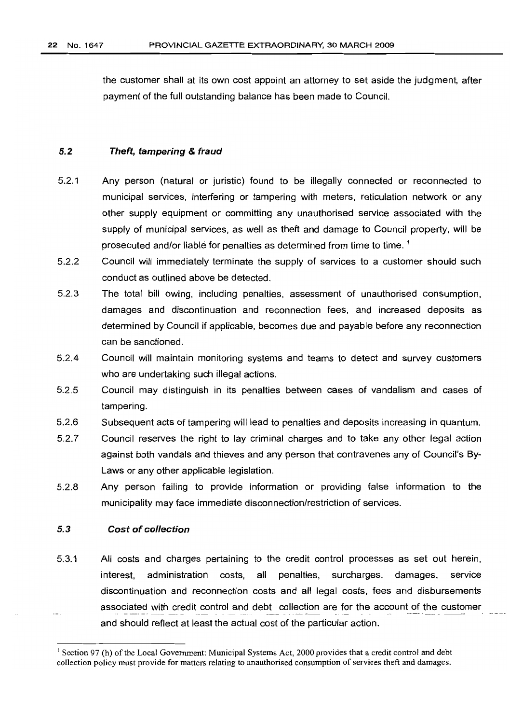the customer shall at its own cost appoint an attorney to set aside the judgment, after payment of the full outstanding balance has been made to Council.

### 5.2 Theft, tampering & fraud

- 5.2.1 Any person (natural or juristic) found to be illegally connected or reconnected to municipal services, interfering or tampering with meters, reticulation network or any other supply equipment or committing any unauthorised service associated with the supply of municipal services, as well as theft and damage to Council property, will be prosecuted and/or liable for penalties as determined from time to time.<sup>1</sup>
- 5.2.2 Council will immediately terminate the supply of services to a customer should such conduct as outlined above be detected.
- 5.2.3 The total bill owing, including penalties, assessment of unauthorised consumption, damages and discontinuation and reconnection fees, and increased deposits as determined by Council if applicable, becomes due and payable before any reconnection can be sanctioned.
- 5.2.4 Council will maintain monitoring systems and teams to detect and survey customers who are undertaking such illegal actions.
- 5.2.5 Council may distinguish in its penalties between cases of vandalism and cases of tampering.
- 5.2.6 Subsequent acts of tampering will lead to penalties and deposits increasing in quantum.
- 5.2.7 Council reserves the right to lay criminal charges and to take any other legal action against both vandals and thieves and any person that contravenes any of Council's By-Laws or any other applicable legislation.
- 5.2.8 Any person failing to provide information or providing false information to the municipality may face immediate disconnection/restriction of services.

### 5.3 Cost of collection

5.3.1 All costs and charges pertaining to the credit control processes as set out herein, interest, administration costs, all penalties, surcharges, damages, service discontinuation and reconnection costs and all legal costs, fees and disbursements associated with credit control and debt collection are for the account of the customer and should reflect at least the actual cost of the particular action.

 $<sup>1</sup>$  Section 97 (h) of the Local Government: Municipal Systems Act, 2000 provides that a credit control and debt</sup> collection policy must provide for matters relating to unauthorised consumption of services theft and damages.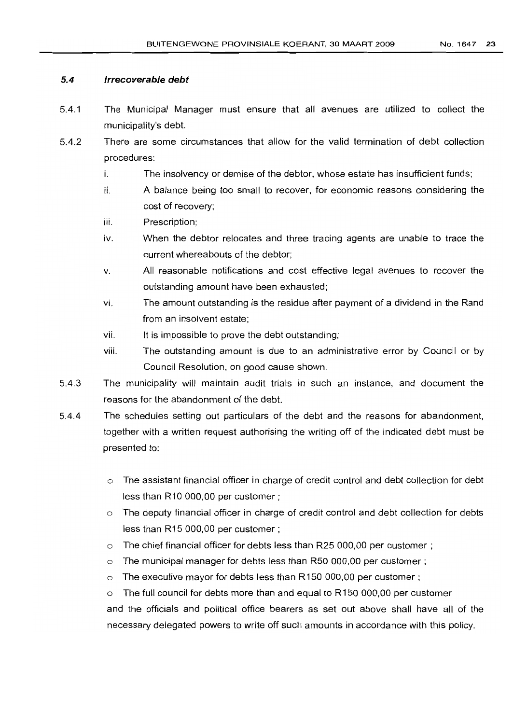### **5.4 Irrecoverable debt**

- 5.4.1 The Municipal Manager must ensure that all avenues are utilized to collect the municipality's debt.
- 5.4.2 There are some circumstances that allow for the valid termination of debt collection procedures:
	- i. The insolvency or demise of the debtor, whose estate has insufficient funds;
	- ii. A balance being too small to recover, for economic reasons considering the cost of recovery;
	- iii. Prescription;
	- iv. When the debtor relocates and three tracing agents are unable to trace the current whereabouts of the debtor;
	- v. All reasonable notifications and cost effective legal avenues to recover the outstanding amount have been exhausted;
	- vi. The amount outstanding is the residue after payment of a dividend in the Rand from an insolvent estate;
	- vii. It is impossible to prove the debt outstanding;
	- viii. The outstanding amount is due to an administrative error by Councilor by Council Resolution, on good cause shown.
- 5.4.3 The municipality will maintain audit trials in such an instance, and document the reasons for the abandonment of the debt.
- 5.4.4 The schedules setting out particulars of the debt and the reasons for abandonment, toqether with a written request authorising the writing off of the indicated debt must be presented to:
	- o The assistant financial officer in charge of credit control and debt collection for debt less than R10 000,00 per customer;
	- o The deputy financial officer in charge of credit control and debt collection for debts less than R15 000,00 per customer;
	- o The chief financial officer for debts less than R25 000,00 per customer;
	- o The municipal manager for debts less than R50 000,00 per customer;
	- $\circ$  The executive mayor for debts less than R150 000,00 per customer;

 $\circ$  The full council for debts more than and equal to R150 000,00 per customer and the officials and political office bearers as set out above shall have all of the necessary delegated powers to write off such amounts in accordance with this policy.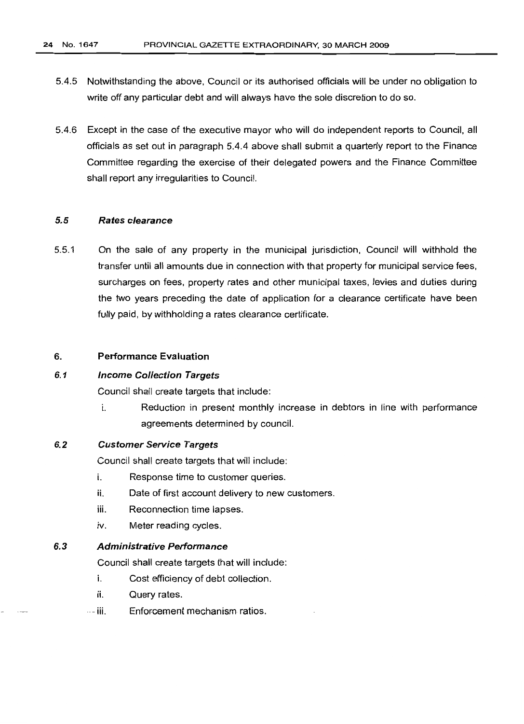- 5.4.5 Notwithstanding the above, Council or its authorised officials will be under no obligation to write off any particular debt and will always have the sole discretion to do so.
- 5.4.6 Except in the case of the executive mayor who will do independent reports to Council, all officials as set out in paragraph 5.4.4 above shall submit a quarterly report to the Finance Committee regarding the exercise of their delegated powers and the Finance Committee shall report any irregularities to Council.

### 5.5 Rates clearance

5.5.1 On the sale of any property in the municipal jurisdiction, Council will withhold the transfer until all amounts due in connection with that property for municipal service fees, surcharges on fees, property rates and other municipal taxes, levies and duties during the two years preceding the date of application for a clearance certificate have been fully paid, by withholding a rates clearance certificate.

### 6. Performance Evaluation

### 6.1 Income Collection Targets

Council shall create targets that include:

i. Reduction in present monthly increase in debtors in line with performance agreements determined by council.

### 6.2 Customer Service Targets

Council shall create targets that will include:

- i. Response time to customer queries.
- ii. Date of first account delivery to new customers.
- iii. Reconnection time lapses.
- iv. Meter reading cycles.

### 6.3 Administrative Performance

Council shall create targets that will include:

- i. Cost efficiency of debt collection.
- ii. Query rates.
- -- iii. Enforcement mechanism ratios.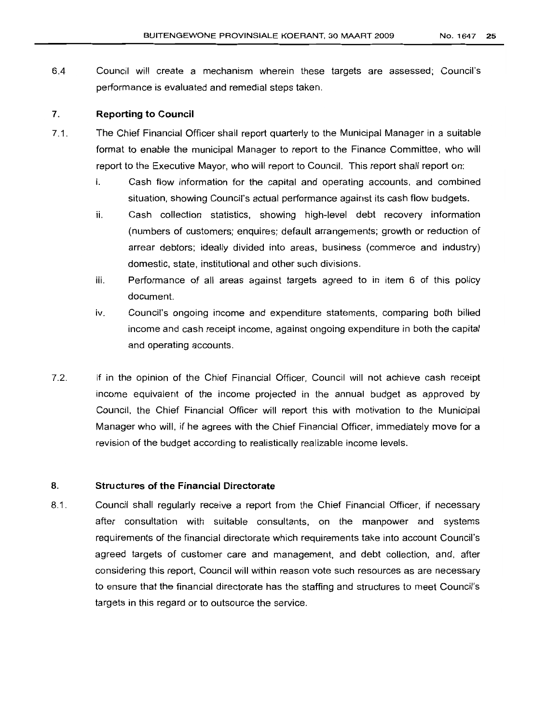6.4 Council will create a mechanism wherein these targets are assessed; Council's performance is evaluated and remedial steps taken.

### 7. **Reporting to Council**

- 7.1. The Chief Financial Officer shall report quarterly to the Municipal Manager in a suitable format to enable the municipal Manager to report to the Finance Committee, who will report to the Executive Mayor, who will report to Council. This report shall report on:
	- i. Cash flow information for the capital and operating accounts, and combined situation, showing Council's actual performance against its cash flow budgets.
	- ii. Cash collection statistics, showing high-level debt recovery information (numbers of customers; enquires; default arrangements; growth or reduction of arrear debtors; ideally divided into areas, business (commerce and industry) domestic, state, institutional and other such divisions.
	- iii. Performance of all areas against targets agreed to in item 6 of this policy document.
	- iv. Council's ongoing income and expenditure statements, comparing both billed income and cash receipt income, against ongoing expenditure in both the capital and operating accounts.
- 7.2. If in the opinion of the Chief Financial Officer, Council will not achieve cash receipt income equivalent of the income projected in the annual budget as approved by Council, the Chief Financial Officer will report this with motivation to the Municipal Manager who will, if he agrees with the Chief Financial Officer, immediately move for a revision of the budget according to realistically realizable income levels.

### 8. **Structures of the Financial Directorate**

8.1. Council shall regularly receive a report from the Chief Financial Officer, if necessary after consultation with suitable consultants, on the manpower and systems requirements of the financial directorate which requirements take into account Council's agreed targets of customer care and management, and debt collection, and, after considering this report, Council will within reason vote such resources as are necessary to ensure that the financial directorate has the staffing and structures to meet Council's targets in this regard or to outsource the service.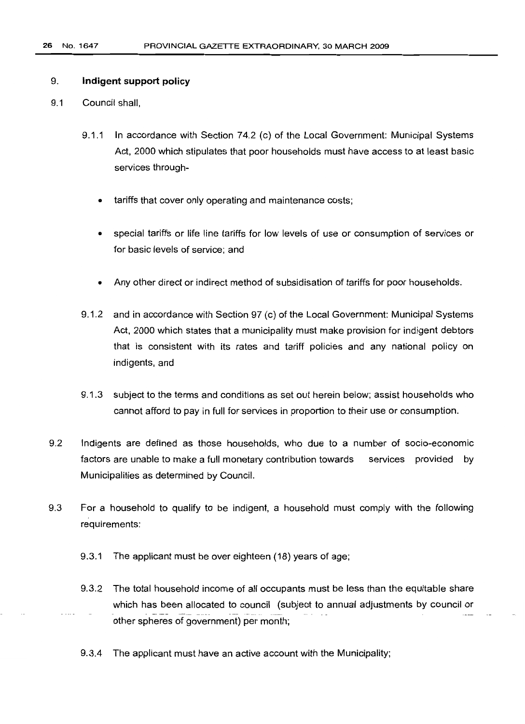### 9. **Indigent support policy**

- 9.1 Council shall,
	- 9.1.1 In accordance with Section 74.2 (c) of the Local Government: Municipal Systems Act, 2000 which stipulates that poor households must have access to at least basic services through
		- tariffs that cover only operating and maintenance costs;
		- special tariffs or life line tariffs for low levels of use or consumption of services or for basic levels of service; and
		- Any other direct or indirect method of subsidisation of tariffs for poor households.
	- 9.1.2 and in accordance with Section 97 (c) of the Local Government: Municipal Systems Act, 2000 which states that a municipality must make provision for indigent debtors that is consistent with its rates and tariff policies and any national policy on indigents, and
	- 9.1.3 subject to the terms and conditions as set out herein below; assist households who cannot afford to pay in full for services in proportion to their use or consumption.
- 9.2 Indigents are defined as those households, who due to a number of socio-economic factors are unable to make a full monetary contribution towards services provided by Municipalities as determined by Council.
- 9.3 For a household to qualify to be indigent, a household must comply with the following requirements:
	- 9.3.1 The applicant must be over eighteen (18) years of age;
	- 9.3.2 The total household income of all occupants must be less than the equitable share which has been allocated to council (subject to annual adjustments by council or -- --- --- ---~- --- .\_.\_- - -~ other spheres of government) per month;
	- 9.3.4 The applicant must have an active account with the Municipality;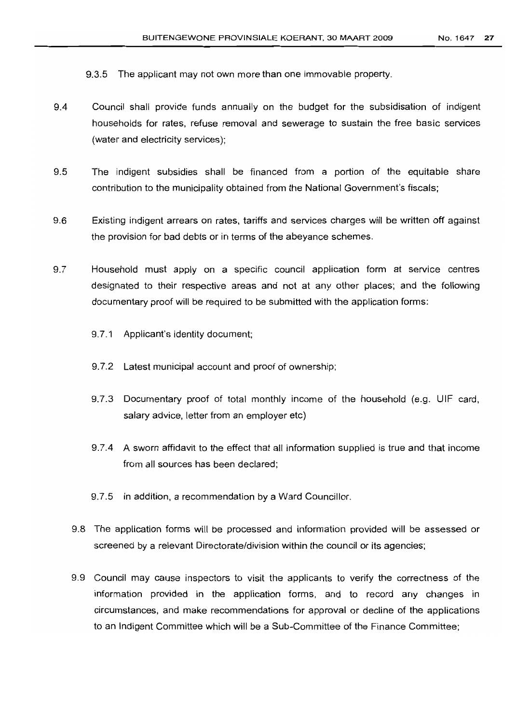- 9.3.5 The applicant may not own more than one immovable property.
- 9.4 Council shall provide funds annually on the budget for the subsidisation of indigent households for rates, refuse removal and sewerage to sustain the free basic services (water and electricity services);
- 9.5 The indigent subsidies shall be financed from a portion of the equitable share contribution to the municipality obtained from the National Government's fiscals;
- 9.6 Existing indigent arrears on rates, tariffs and services charges will be written off against the provision for bad debts or in terms of the abeyance schemes.
- 9.7 Household must apply on a specific council application form at service centres designated to their respective areas and not at any other places; and the following documentary proof will be required to be submitted with the application forms:
	- 9.7.1 Applicant's identity document;
	- 9.7.2 Latest municipal account and proof of ownership;
	- 9.7.3 Documentary proof of total monthly income of the household (e.g. UIF card, salary advice, letter from an employer etc)
	- 9.7.4 A sworn affidavit to the effect that all information supplied is true and that income from all sources has been declared;
	- 9.7.5 In addition, a recommendation by a Ward Councillor.
	- 9.8 The application forms will be processed and information provided will be assessed or screened by a relevant Directorate/division within the council or its agencies;
	- 9.9 Council may cause inspectors to visit the applicants to verify the correctness of the information provided in the application forms, and to record any changes in circumstances, and make recommendations for approval or decline of the applications to an Indigent Committee which will be a Sub-Committee of the Finance Committee;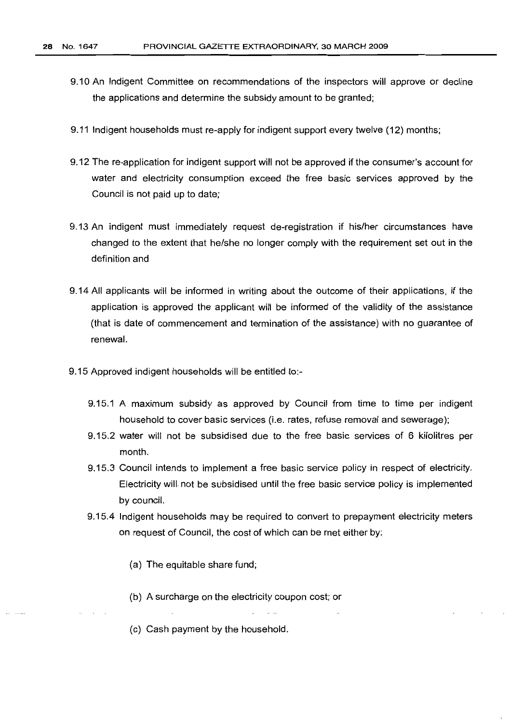- 9.10 An Indigent Committee on recommendations of the inspectors will approve or decline the applications and determine the subsidy amount to be granted;
- 9.11 Indigent households must re-apply for indigent support every twelve (12) months;
- 9.12 The re-application for indigent support will not be approved if the consumer's account for water and electricity consumption exceed the free basic services approved by the Council is not paid up to date;
- 9.13 An indigent must immediately request de-registration if his/her circumstances have changed to the extent that he/she no longer comply with the requirement set out in the definition and
- 9.14 All applicants will be informed in writing about the outcome of their applications, if the application is approved the applicant will be informed of the validity of the assistance (that is date of commencement and termination of the assistance) with no guarantee of renewal.
- 9.15 Approved indigent households will be entitled to:-
	- 9.15.1 A maximum subsidy as approved by Council from time to time per indigent household to cover basic services (i.e. rates, refuse removal and sewerage);
	- 9.15.2 water will not be subsidised due to the free basic services of 6 kilolitres per month.
	- 9.15.3 Council intends to implement a free basic service policy in respect of electricity. Electricity will not be subsidised until the free basic service policy is implemented by council.
	- 9.15.4 Indigent households may be required to convert to prepayment electricity meters on request of Council, the cost of which can be met either by:
		- (a) The equitable share fund;
		- (b) A surcharge on the electricity coupon cost; or
		- (c) Cash payment by the household.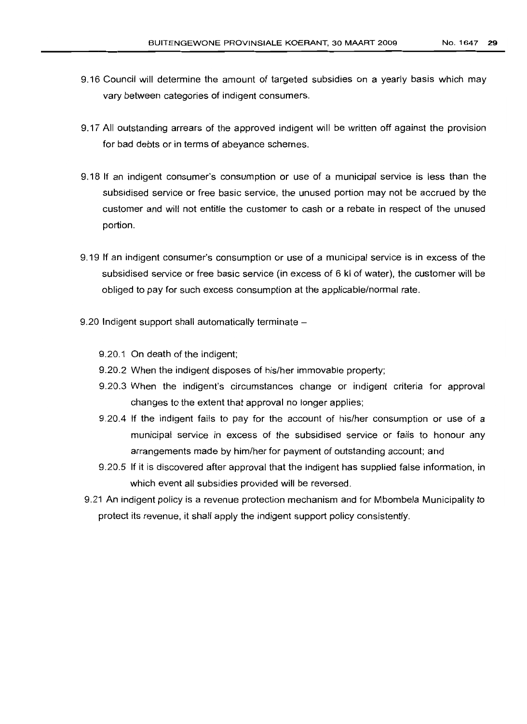- 9.16 Council will determine the amount of targeted subsidies on a yearly basis which may vary between categories of indigent consumers.
- 9.17 All outstanding arrears of the approved indigent will be written off against the provision for bad debts or in terms of abeyance schemes.
- 9.18 If an indigent consumer's consumption or use of a municipal service is less than the subsidised service or free basic service, the unused portion may not be accrued by the customer and will not entitle the customer to cash or a rebate in respect of the unused portion.
- 9.19 If an indigent consumer's consumption or use of a municipal service is in excess of the subsidised service or free basic service (in excess of 6 kl of water), the customer will be obliged to pay for such excess consumption at the applicable/normal rate.
- 9.20 Indigent support shall automatically terminate  $-$ 
	- 9.20.1 On death of the indigent;
	- 9.20.2 When the indigent disposes of his/her immovable property;
	- 9.20.3 When the indigent's circumstances change or indigent criteria for approval changes to the extent that approval no longer applies;
	- 9.20.4 If the indigent fails to pay for the account of his/her consumption or use of a municipal service in excess of the subsidised service or fails to honour any arrangements made by him/her for payment of outstanding account; and
	- 9.20.5 If it is discovered after approval that the indigent has supplied false information, in which event all subsidies provided will be reversed.
- 9.21 An indigent policy is a revenue protection mechanism and for Mbombela Municipality to protect its revenue, it shall apply the indigent support policy consistently.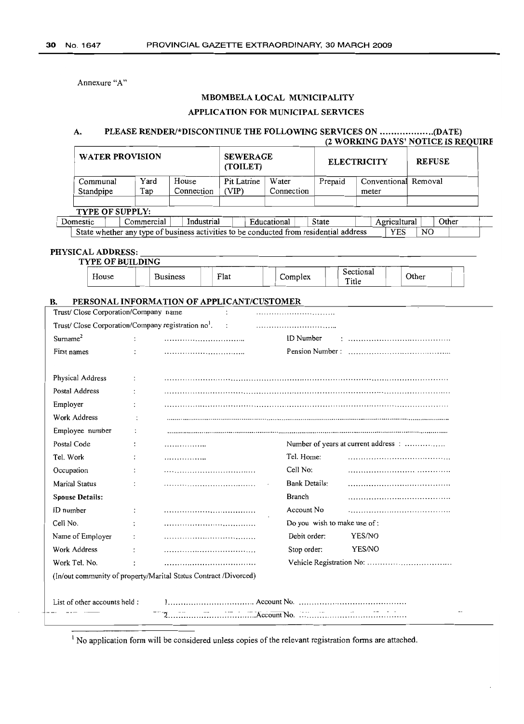Annexure "A"

### MBOMBELA LOCAL MUNICIPALITY

### APPLICATION FOR MUNICIPAL SERVICES

### A. PLEASE RENDER/\*DISCONTINUE THE FOLLOWING SERVICES ON (DATE) (2 WORKING DAYS' NOTICE IS REQUIRE

| <b>WATER PROVISION</b>                                                                                                 |               |            |                      | <b>SEWERAGE</b><br>(TOILET) |             |                      | <b>ELECTRICITY</b> |              |  | <b>REFUSE</b> |  |  |
|------------------------------------------------------------------------------------------------------------------------|---------------|------------|----------------------|-----------------------------|-------------|----------------------|--------------------|--------------|--|---------------|--|--|
| Communal                                                                                                               | Yard<br>House |            | Pit Latrine<br>Water |                             | Prepaid     | Conventional Removal |                    |              |  |               |  |  |
| Standpipe                                                                                                              | Tap           | Connection | (VIP)                |                             | Connection  |                      | meter              |              |  |               |  |  |
|                                                                                                                        |               |            |                      |                             |             |                      |                    |              |  |               |  |  |
| <b>TYPE OF SUPPLY:</b>                                                                                                 |               |            |                      |                             |             |                      |                    |              |  |               |  |  |
| Domestic                                                                                                               | Commercial    | Industrial |                      |                             | Educational | State                |                    | Agricultural |  | Other         |  |  |
| State whether any type of business activities to be conducted from residential address<br><b>YES</b><br>N <sub>O</sub> |               |            |                      |                             |             |                      |                    |              |  |               |  |  |

### PHYSICAL ADDRESS: \_

| <b>TYPE OF BUILDING</b> |  |                      |  |      |  |         |  |                    |  |       |  |  |
|-------------------------|--|----------------------|--|------|--|---------|--|--------------------|--|-------|--|--|
| $\mathbf{r}$<br>House   |  | -<br><b>Business</b> |  | Flat |  | Complex |  | Sectional<br>Title |  | Other |  |  |

### B. PERSONAL INFORMATION OF APPLICANT/CUSTOMER

| Trust/Close Corporation/Company name                            |                      |                                                                  |                                                                                                                                        |                                      |
|-----------------------------------------------------------------|----------------------|------------------------------------------------------------------|----------------------------------------------------------------------------------------------------------------------------------------|--------------------------------------|
| Trust/ Close Corporation/Company registration no <sup>1</sup> . |                      | $\ddot{\phantom{a}}$                                             |                                                                                                                                        |                                      |
| Surname <sup>2</sup>                                            | $\ddot{\phantom{a}}$ |                                                                  | ID Number                                                                                                                              |                                      |
| First names                                                     |                      |                                                                  |                                                                                                                                        |                                      |
|                                                                 |                      |                                                                  |                                                                                                                                        |                                      |
| Physical Address                                                |                      |                                                                  |                                                                                                                                        |                                      |
| Postal Address                                                  |                      |                                                                  |                                                                                                                                        |                                      |
| Employer                                                        |                      |                                                                  |                                                                                                                                        |                                      |
| Work Address                                                    |                      |                                                                  |                                                                                                                                        |                                      |
| Employee number                                                 |                      |                                                                  |                                                                                                                                        |                                      |
| Postal Code                                                     |                      | .                                                                |                                                                                                                                        | Number of years at current address : |
| Tel. Work                                                       |                      | .                                                                | Tel. Home:                                                                                                                             |                                      |
| Occupation                                                      |                      | ,,,,,,,,,,,,,,,,,,,,,,,,,,,,,,,,,,,,,,                           | Cell No:                                                                                                                               |                                      |
| <b>Marital Status</b>                                           |                      |                                                                  | <b>Bank Details:</b>                                                                                                                   |                                      |
| <b>Spouse Details:</b>                                          |                      |                                                                  | <b>Branch</b>                                                                                                                          |                                      |
| ID number                                                       |                      |                                                                  | Account No.                                                                                                                            |                                      |
| Cell No.                                                        |                      |                                                                  | Do you wish to make use of:                                                                                                            |                                      |
| Name of Employer                                                | $\ddot{\cdot}$       | ,,,,,,,,,,,,,,,,,,,,,,,,,,,,,,,,,,,,,,                           | Debit order:                                                                                                                           | YES/NO                               |
| Work Address                                                    |                      | ,,,,,,,,,,,,,,,,,,,,,,,,,,,,,,,,,,,,,,                           | Stop order:                                                                                                                            | YES/NO                               |
| Work Tel. No.                                                   |                      |                                                                  |                                                                                                                                        |                                      |
|                                                                 |                      | (In/out community of property/Marital Status Contract /Divorced) |                                                                                                                                        |                                      |
|                                                                 |                      |                                                                  |                                                                                                                                        |                                      |
| List of other accounts held:                                    |                      |                                                                  |                                                                                                                                        |                                      |
|                                                                 |                      |                                                                  | $\ldots$ $\ldots$ $\ldots$ $\ldots$ $\ldots$ $\ldots$ $\ldots$ $\ldots$ $\ldots$ $\ldots$ $\ldots$ $\ldots$ $\ldots$ $\ldots$ $\ldots$ |                                      |

<sup>1</sup> No application form will be considered unless copies of the relevant registration forms are attached.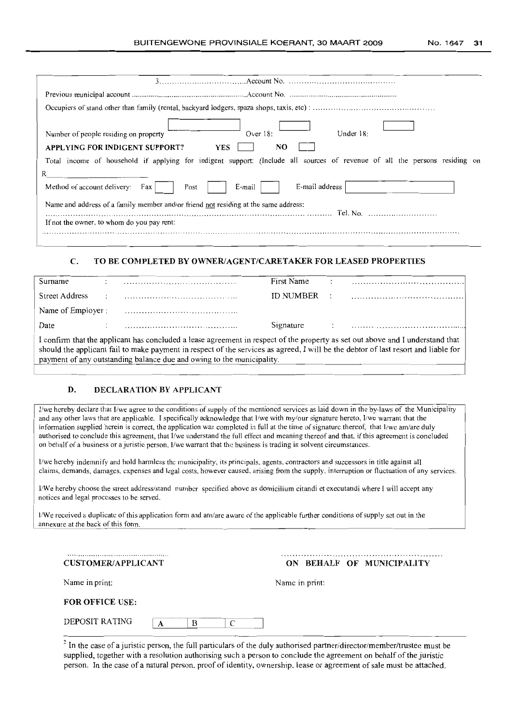| Number of people residing on property<br>APPLYING FOR INDIGENT SUPPORT?             | Under $18$ :<br>Over $18$ :<br><b>YES</b><br>NO                                                                            |
|-------------------------------------------------------------------------------------|----------------------------------------------------------------------------------------------------------------------------|
|                                                                                     | Total income of household if applying for indigent support: (lnclude all sources of revenue of all the persons residing on |
| R                                                                                   |                                                                                                                            |
| Post<br>Method of account delivery:<br>Fax                                          | E-mail address<br>E-mail                                                                                                   |
| Name and address of a family member and/or friend not residing at the same address: | Tel. No. $\ldots$ . $\ldots$ . $\ldots$ . $\ldots$                                                                         |
| If not the owner, to whom do you pay rent:                                          |                                                                                                                            |
|                                                                                     |                                                                                                                            |

### C. TO BE COMPLETED BY OWNER/AGENT/CARETAKER FOR LEASED PROPERTIES

| Surname                                                                                                                                                                                                                                                              |  |  | First Name  |  |  |  |  |  |
|----------------------------------------------------------------------------------------------------------------------------------------------------------------------------------------------------------------------------------------------------------------------|--|--|-------------|--|--|--|--|--|
| Street Address                                                                                                                                                                                                                                                       |  |  | ID NUMBER : |  |  |  |  |  |
| Name of Employer :                                                                                                                                                                                                                                                   |  |  |             |  |  |  |  |  |
| Date                                                                                                                                                                                                                                                                 |  |  | Signature   |  |  |  |  |  |
| I confirm that the applicant has concluded a lease agreement in respect of the property as set out above and I understand that<br>should the applicant fail to make payment in respect of the services as agreed, I will be the debtor of last resort and liable for |  |  |             |  |  |  |  |  |

### D. DECLARATION BY APPLICANT

payment of any outstanding balance due and owing to the municipality.

L'we hereby declare that I/we agree to the conditions of supply of the mentioned services as laid down in the by-laws of the Municipality and any other laws that are applicable. I specifically acknowledge that I/we with my/our signature hereto, I/we warrant that the information supplied herein is correct, the application was completed in full at the time of signature thereof, that I/we amJare duly authorised to conclude this agreement, that I/we understand the full effect and meaning thereof and that, if this agreement is concluded on behalf of a husiness or a juristic person, l/we warrant that the business is trading in solvent circumstances.

l/wc hereby indemnify and hold harmless the municipality, its principals. agents. contractors and successors in title against all claims, demands, damages, expenses and legal costs. however caused. arising from the supply. interruption or fluctuation of any services.

I/We hereby choose the street address/stand number specified above as domicilium citandi et cxecutandi where I will accept any notices and legal processes to he served.

I/We received a duplicate of this application form and am/are aware of the applicable further conditions of supply set out in the annexure at the back of this fonn.

| <b>CUSTOMER/APPLICANT</b> |   | ON BEHALF OF MUNICIPALITY |
|---------------------------|---|---------------------------|
| Name in print:            |   | Name in print:            |
| FOR OFFICE USE:           |   |                           |
| DEPOSIT RATING            | В |                           |

 $2$  In the case of a juristic person, the full particulars of the duly authorised partner/director/member/trustee must be supplied, together with a resolution authorising such a person to conclude the agreement on behalf ofthe juristic person. In the case of a natural person. proof of identity, ownership. lease or agreement ofsale must be attached.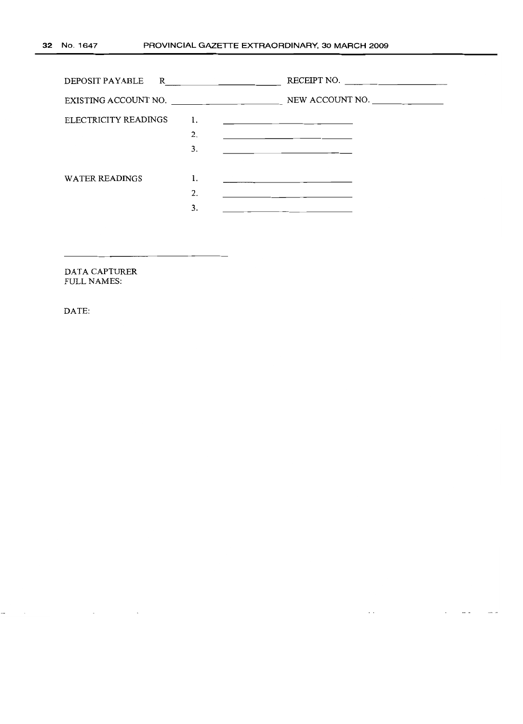|                       |                |                                                     | RECEIPT NO.                                                                                                                                                                                                                                  |
|-----------------------|----------------|-----------------------------------------------------|----------------------------------------------------------------------------------------------------------------------------------------------------------------------------------------------------------------------------------------------|
| EXISTING ACCOUNT NO.  |                |                                                     | NEW ACCOUNT NO.                                                                                                                                                                                                                              |
| ELECTRICITY READINGS  | 1.<br>2.<br>3. | the contract of the contract of the contract of the | <u> 1989 - Johann John Stein, markin fan it ferstjer fan it ferstjer fan it ferstjer fan it ferstjer fan it fers</u><br><u> 1989 - Johann John Stein, markin fan it ferstjer fan it ferstjer fan it ferstjer fan it ferstjer fan it fers</u> |
| <b>WATER READINGS</b> | 1.<br>2.<br>3. |                                                     | the contract of the contract of the contract of                                                                                                                                                                                              |

DATA CAPTURER FULL NAMES:

DATE: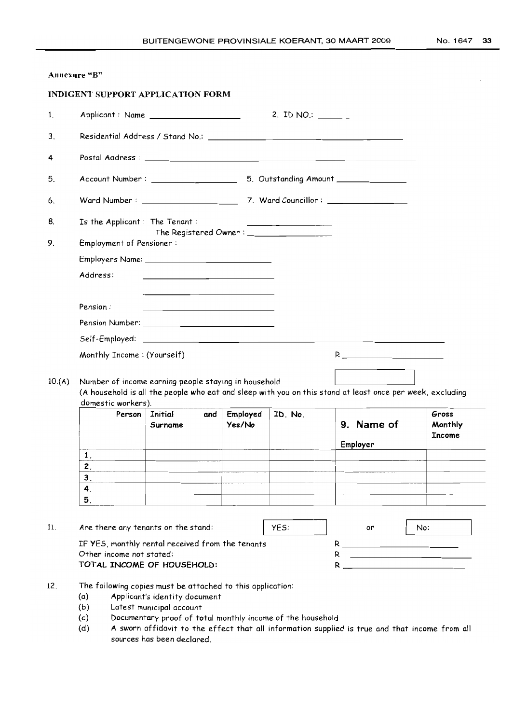|--|

|        | Annexure "B"                  |                                                                                                                                                                                                                                |                    |         |                                                                                                           |                                   |
|--------|-------------------------------|--------------------------------------------------------------------------------------------------------------------------------------------------------------------------------------------------------------------------------|--------------------|---------|-----------------------------------------------------------------------------------------------------------|-----------------------------------|
|        |                               | <b>INDIGENT SUPPORT APPLICATION FORM</b>                                                                                                                                                                                       |                    |         |                                                                                                           |                                   |
| 1.     |                               | Applicant: Name                                                                                                                                                                                                                |                    |         | 2. ID NO.: $\_\_$                                                                                         |                                   |
| 3.     |                               | Residential Address / Stand No.: \\contact \\contact \\contact \\contact \\contact \\contact \\contact \\contact \\contact \\contact \\contact \\contact \\contact \\contact \\contact \\contact \\contact \\contact \\contact |                    |         |                                                                                                           |                                   |
| 4      |                               |                                                                                                                                                                                                                                |                    |         |                                                                                                           |                                   |
| 5.     |                               |                                                                                                                                                                                                                                |                    |         |                                                                                                           |                                   |
| 6.     |                               |                                                                                                                                                                                                                                |                    |         |                                                                                                           |                                   |
| 8.     | Is the Applicant: The Tenant: |                                                                                                                                                                                                                                |                    |         |                                                                                                           |                                   |
| 9.     | Employment of Pensioner:      |                                                                                                                                                                                                                                |                    |         |                                                                                                           |                                   |
|        |                               |                                                                                                                                                                                                                                |                    |         |                                                                                                           |                                   |
|        | Address:                      | the contract of the contract of the contract of the contract of the contract of                                                                                                                                                |                    |         |                                                                                                           |                                   |
|        | Pension:                      | <u> 1989 - Johann John Stone, mars eta industrial eta industrial eta industrial eta industrial eta industrial e</u>                                                                                                            |                    |         |                                                                                                           |                                   |
|        |                               |                                                                                                                                                                                                                                |                    |         |                                                                                                           |                                   |
|        |                               |                                                                                                                                                                                                                                |                    |         |                                                                                                           |                                   |
|        | Monthly Income: (Yourself)    |                                                                                                                                                                                                                                |                    |         | $R_{\perp}$ and $R_{\perp}$ and $R_{\perp}$ and $R_{\perp}$                                               |                                   |
| 10.(A) | domestic workers).            | Number of income earning people staying in household                                                                                                                                                                           |                    |         | (A household is all the people who eat and sleep with you on this stand at least once per week, excluding |                                   |
|        | Person                        | <b>Initial</b><br>and<br>Surname                                                                                                                                                                                               | Employed<br>Yes/No | ID. No. | 9. Name of<br>Employer                                                                                    | Gross<br>Monthly<br><b>Income</b> |
|        | $\mathbf{1}$ .                |                                                                                                                                                                                                                                |                    |         |                                                                                                           |                                   |
|        | 2.                            |                                                                                                                                                                                                                                |                    |         |                                                                                                           |                                   |
|        | З.<br>4.                      |                                                                                                                                                                                                                                |                    |         |                                                                                                           |                                   |
|        | 5.                            |                                                                                                                                                                                                                                |                    |         |                                                                                                           |                                   |
| 11.    | Other income not stated:      | Are there any tenants on the stand:<br>IF YES, monthly rental received from the tenants<br>TOTAL INCOME OF HOUSEHOLD:                                                                                                          |                    | YES:    | or                                                                                                        | No:                               |
| 12.    | (a)<br>(b)<br>(c)<br>(d)      | The following copies must be attached to this application:<br>Applicant's identity document<br>Latest municipal account<br>Documentary proof of total monthly income of the household<br>sources has been declared.            |                    |         | A sworn affidavit to the effect that all information supplied is true and that income from all            |                                   |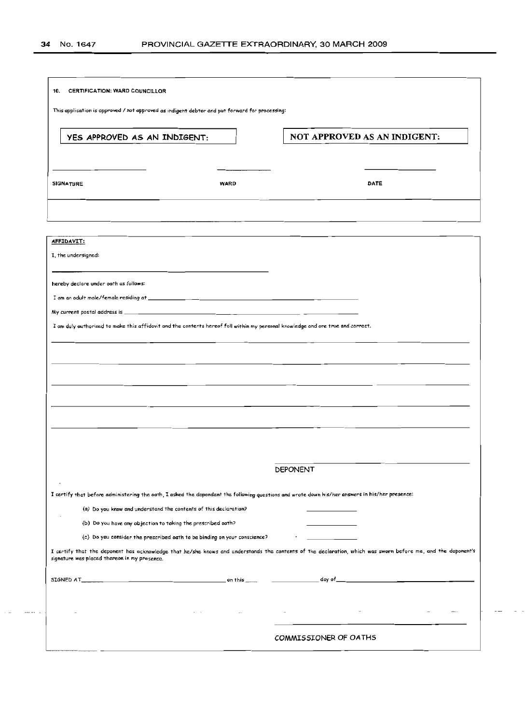$\sim$   $\sim$ 

 $\sim$   $\sim$   $\sim$   $\sim$ 

| This application is approved / not approved as indigent debtor and put forward for processing:                                  |             |                                                                                                                                                              |  |
|---------------------------------------------------------------------------------------------------------------------------------|-------------|--------------------------------------------------------------------------------------------------------------------------------------------------------------|--|
| YES APPROVED AS AN INDIGENT:                                                                                                    |             | NOT APPROVED AS AN INDIGENT:                                                                                                                                 |  |
|                                                                                                                                 |             |                                                                                                                                                              |  |
|                                                                                                                                 |             |                                                                                                                                                              |  |
| SIGNATURE                                                                                                                       | <b>WARD</b> | DATE                                                                                                                                                         |  |
|                                                                                                                                 |             |                                                                                                                                                              |  |
|                                                                                                                                 |             |                                                                                                                                                              |  |
| <b>AFFIDAVIT:</b>                                                                                                               |             |                                                                                                                                                              |  |
| I, the undersigned:                                                                                                             |             |                                                                                                                                                              |  |
|                                                                                                                                 |             |                                                                                                                                                              |  |
| hereby declare under oath as follows:                                                                                           |             |                                                                                                                                                              |  |
|                                                                                                                                 |             |                                                                                                                                                              |  |
|                                                                                                                                 |             |                                                                                                                                                              |  |
| I am duly authorised to make this affidavit and the contents hereof foll within my personal knowledge ond ore true and correct. |             |                                                                                                                                                              |  |
|                                                                                                                                 |             |                                                                                                                                                              |  |
|                                                                                                                                 |             |                                                                                                                                                              |  |
|                                                                                                                                 |             |                                                                                                                                                              |  |
|                                                                                                                                 |             |                                                                                                                                                              |  |
|                                                                                                                                 |             |                                                                                                                                                              |  |
|                                                                                                                                 |             |                                                                                                                                                              |  |
|                                                                                                                                 |             |                                                                                                                                                              |  |
|                                                                                                                                 |             |                                                                                                                                                              |  |
|                                                                                                                                 |             |                                                                                                                                                              |  |
|                                                                                                                                 |             |                                                                                                                                                              |  |
|                                                                                                                                 |             |                                                                                                                                                              |  |
|                                                                                                                                 |             | <b>DEPONENT</b>                                                                                                                                              |  |
| $\ddot{\phantom{a}}$                                                                                                            |             | I certify that before administering the oath, I asked the depondent the following questions and wrote down his/her answers in his/her presence:              |  |
| (a) Do you know and understand the contents of this declaration?                                                                |             |                                                                                                                                                              |  |
| (b) Do you have any objection to taking the prescribed oath?                                                                    |             |                                                                                                                                                              |  |
| (c) Do you consider the prescribed oath to be binding on your conscience?                                                       |             |                                                                                                                                                              |  |
|                                                                                                                                 |             | I certify that the deponent has acknowledge that he/she knows and understands the contents of the declaration, which was sworn before me, and the deponent's |  |
| signature was placed thereon in my presence.                                                                                    |             |                                                                                                                                                              |  |
|                                                                                                                                 |             |                                                                                                                                                              |  |
|                                                                                                                                 |             |                                                                                                                                                              |  |
|                                                                                                                                 |             |                                                                                                                                                              |  |
|                                                                                                                                 |             |                                                                                                                                                              |  |
|                                                                                                                                 |             |                                                                                                                                                              |  |
|                                                                                                                                 |             |                                                                                                                                                              |  |

 $\sim$   $\sim$ 

 $-$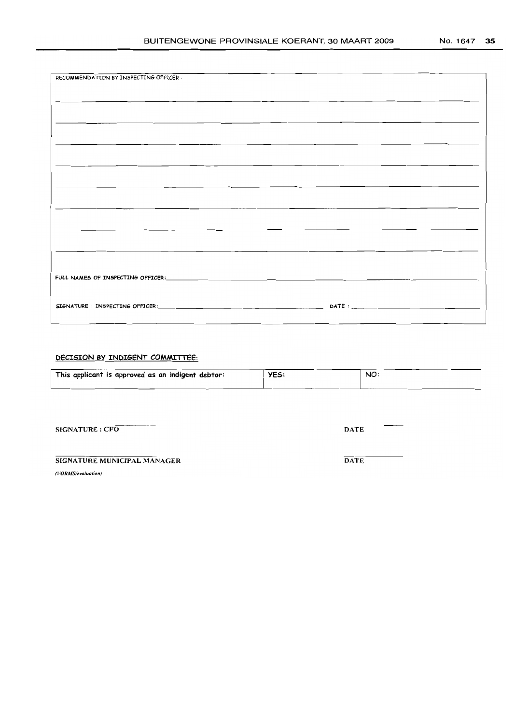| RECOMMENDATION BY INSPECTING OFFICER:                       |  |
|-------------------------------------------------------------|--|
|                                                             |  |
|                                                             |  |
|                                                             |  |
|                                                             |  |
|                                                             |  |
|                                                             |  |
|                                                             |  |
|                                                             |  |
|                                                             |  |
|                                                             |  |
|                                                             |  |
|                                                             |  |
|                                                             |  |
|                                                             |  |
|                                                             |  |
| <u> 1989 - Johann Stoff, Amerikaansk politiker (* 1989)</u> |  |
|                                                             |  |
|                                                             |  |
|                                                             |  |
|                                                             |  |
|                                                             |  |
|                                                             |  |
|                                                             |  |
|                                                             |  |
|                                                             |  |
|                                                             |  |
|                                                             |  |
|                                                             |  |
|                                                             |  |

### DECISION BY INDIGENT COMMITTEE:

| This applicant is approved as an indigent debtor: | YES: | NO:         |  |
|---------------------------------------------------|------|-------------|--|
| <b>SIGNATURE: CFO</b>                             |      | <b>DATE</b> |  |
| SIGNATURE MUNICIPAL MANAGER                       |      | <b>DATE</b> |  |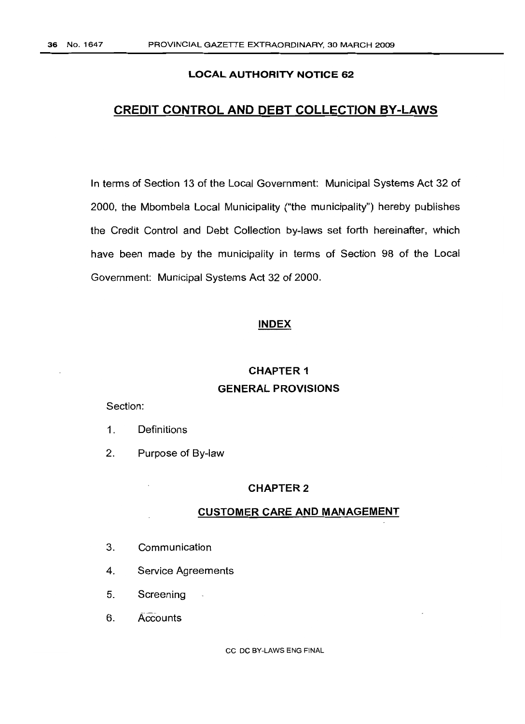### **LOCAL AUTHORITY NOTICE 62**

# **CREDIT CONTROL AND DEBT COLLECTION BY-LAWS**

In terms of Section 13 of the Local Government: Municipal Systems Act 32 of 2000, the Mbombela Local Municipality ("the municipality") hereby publishes the Credit Control and Debt Collection by-laws set forth hereinafter, which have been made by the municipality in terms of Section 98 of the Local Government: Municipal Systems Act 32 of 2000.

### **INDEX**

# **CHAPTER 1 GENERAL PROVISIONS**

### Section:

- 1. Definitions
- 2. Purpose of By-law

### **CHAPTER 2**

### **CUSTOMER CARE AND MANAGEMENT**

- 3. Communication
- 4. Service Agreements
- 5. Screening
- 6. Accounts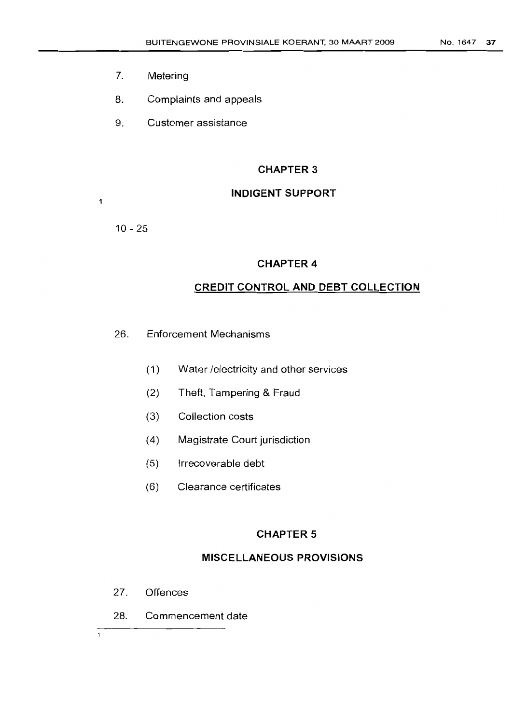- 7. Metering
- 8. Complaints and appeals
- 9. Customer assistance

# **CHAPTER** 3

## **INDIGENT SUPPORT**

10 - 25

 $\mathbf{1}$ 

# **CHAPTER 4**

## **CREDIT CONTROL AND DEBT COLLECTION**

26. Enforcement Mechanisms

- (1) Water /electricity and other services
- (2) Theft, Tampering & Fraud
- (3) Collection costs
- (4) Magistrate Court jurisdiction
- (5) Irrecoverable debt
- (6) Clearance certificates

## **CHAPTER** 5

# **MISCELLANEOUS PROVISIONS**

- 27. Offences
- 28. Commencement date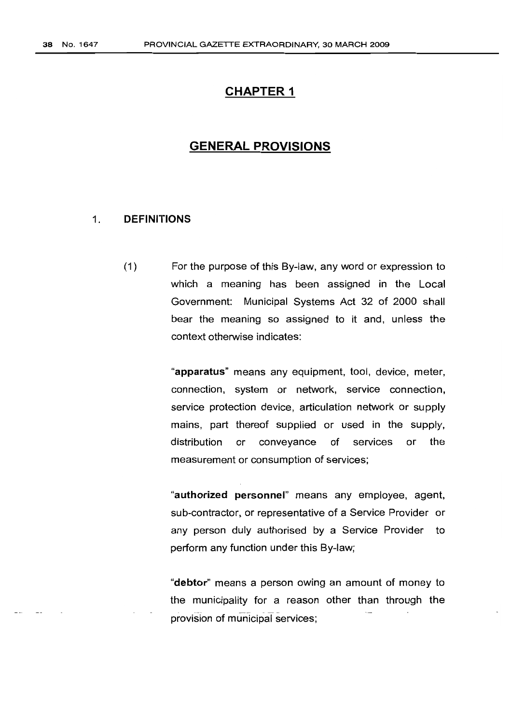# **CHAPTER 1**

# **GENERAL PROVISIONS**

#### 1. **DEFINITIONS**

(1) For the purpose of this By-law, any word or expression to which a meaning has been assigned in the Local Government: Municipal Systems Act 32 of 2000 shall bear the meaning so assigned to it and, unless the context otherwise indicates:

> "apparatus" means any equipment, tool, device, meter, connection, system or network, service connection, service protection device, articulation network or supply mains, part thereof supplied or used in the supply, distribution or conveyance of services or the measurement or consumption of services;

> "authorized personnel" means any employee, agent, sub-contractor, or representative of a Service Provider or any person duly authorised by a Service Provider to perform any function under this By-law;

> "debtor" means a person owing an amount of money to the municipality for a reason other than through the provision of municipal services;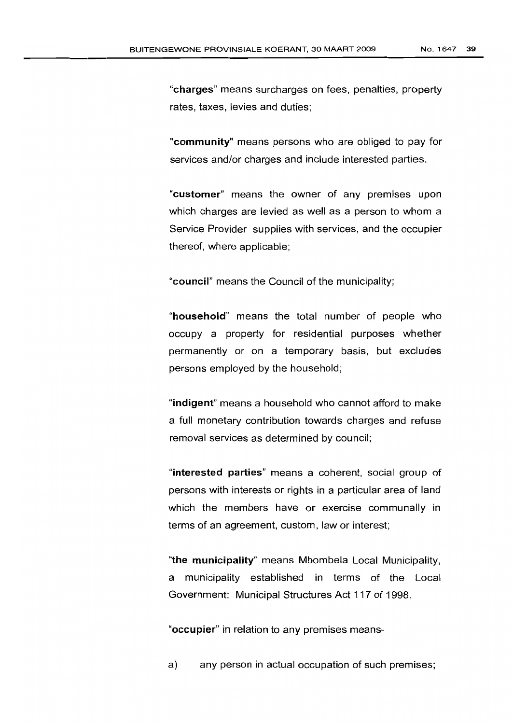"charges" means surcharges on fees, penalties, property rates, taxes, levies and duties;

"community" means persons who are obliged to pay for services and/or charges and include interested parties.

"customer" means the owner of any premises upon which charges are levied as well as a person to whom a Service Provider supplies with services, and the occupier thereof, where applicable;

"council" means the Council of the municipality;

"household" means the total number of people who occupy a property for residential purposes whether permanently or on a temporary basis, but excludes persons employed by the household;

"indigent" means a household who cannot afford to make a full monetary contribution towards charges and refuse removal services as determined by council;

"interested parties" means a coherent, social group of persons with interests or rights in a particular area of land which the members have or exercise communally in terms of an agreement, custom, law or interest;

"the municipality" means Mbombela Local Municipality, a municipality established in terms of the Local Government: Municipal Structures Act 117 of 1998.

"occupier" in relation to any premises means-

a) any person in actual occupation of such premises;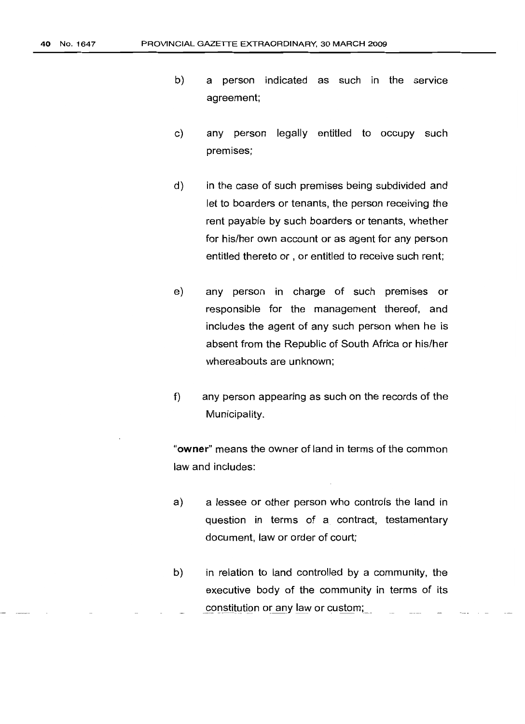- b) a person indicated as such in the service agreement;
- c) any person legally entitled to occupy such premises;
- d) in the case of such premises being subdivided and let to boarders or tenants, the person receiving the rent payable by such boarders or tenants, whether for his/her own account or as agent for any person entitled thereto or , or entitled to receive such rent;
- e) any person in charge of such premises or responsible for the management thereof, and includes the agent of any such person when he is absent from the Republic of South Africa or his/her whereabouts are unknown;
- f) any person appearing as such on the records of the Municipality.

"owner" means the owner of land in terms of the common law and includes:

- a) a lessee or other person who controls the land in question in terms of a contract, testamentary document, law or order of court;
- b) in relation to land controlled by a community, the executive body of the community in terms of its constitution or any law or custom;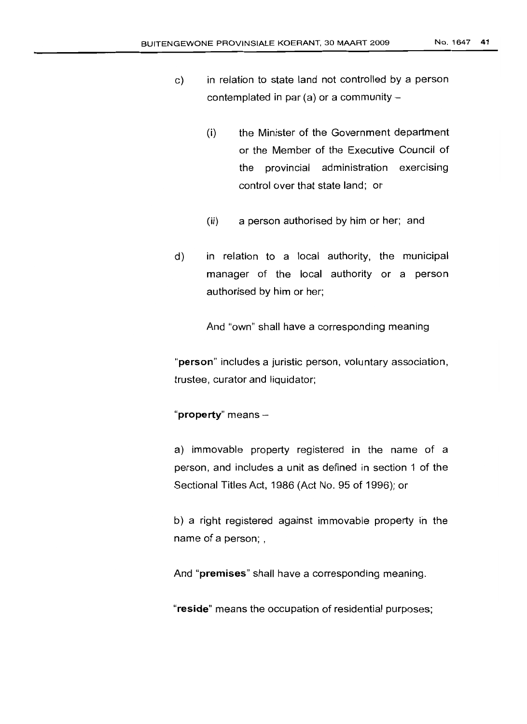- c) in relation to state land not controlled by a person contemplated in par  $(a)$  or a community  $-$ 
	- (i) the Minister of the Government department or the Member of the Executive Council of the provincial administration exercising control over that state land; or
	- (ii) a person authorised by him or her; and
- d) in relation to a local authority, the municipal manager of the local authority or a person authorised by him or her;

And "own" shall have a corresponding meaning

"person" includes a juristic person, voluntary association, trustee, curator and liquidator;

"property" means  $-$ 

a) immovable property registered in the name of a person, and includes a unit as defined in section 1 of the Sectional Titles Act, 1986 (Act No. 95 of 1996); or

b) a right registered against immovable property in the name of a person; ,

And "premises" shall have a corresponding meaning.

"reside" means the occupation of residential purposes;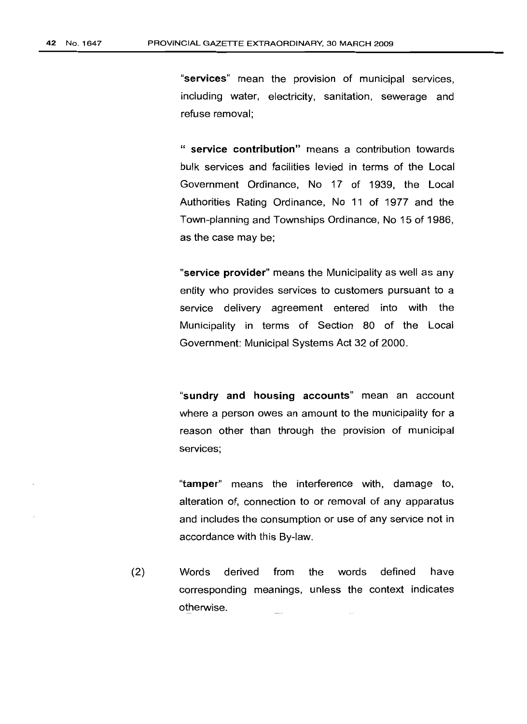"services" mean the provision of municipal services, including water, electricity, sanitation, sewerage and refuse removal;

" service contribution" means a contribution towards bulk services and facilities levied in terms of the Local Government Ordinance, No 17 of 1939, the Local Authorities Rating Ordinance, No 11 of 1977 and the Town-planning and Townships Ordinance, No 15 of 1986, as the case may be;

"service provider" means the Municipality as well as any entity who provides services to customers pursuant to a service delivery agreement entered into with the Municipality in terms of Section 80 of the Local Government: Municipal Systems Act 32 of 2000.

"sundry and housing accounts" mean an account where a person owes an amount to the municipality for a reason other than through the provision of municipal services;

"tamper" means the interference with, damage to, alteration of, connection to or removal of any apparatus and includes the consumption or use of any service not in accordance with this By-law.

(2) Words derived from the words defined have corresponding meanings, unless the context indicates otherwise.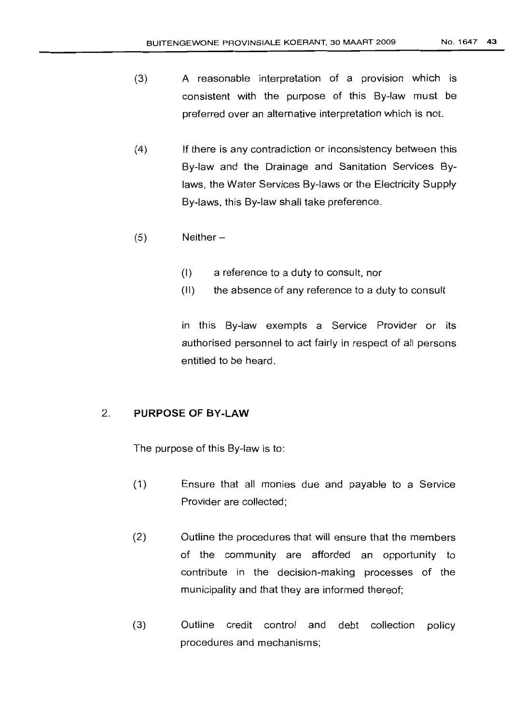- (3) A reasonable interpretation of a provision which is consistent with the purpose of this By-law must be preferred over an alternative interpretation which is not.
- (4) If there is any contradiction or inconsistency between this By-law and the Drainage and Sanitation Services Bylaws, the Water Services By-laws or the Electricity Supply By-laws, this By-law shall take preference.
- $(5)$  Neither
	- (I) a reference to a duty to consult, nor
	- (II) the absence of any reference to a duty to consult

in this By-law exempts a Service Provider or its authorised personnel to act fairly in respect of all persons entitled to be heard.

# 2. **PURPOSE OF BY-LAW**

The purpose of this By-law is to:

- (1) Ensure that all monies due and payable to a Service Provider are collected;
- (2) Outline the procedures that will ensure that the members of the community are afforded an opportunity to contribute in the decision-making processes of the municipality and that they are informed thereof;
- (3) Outline credit control and debt collection policy procedures and mechanisms;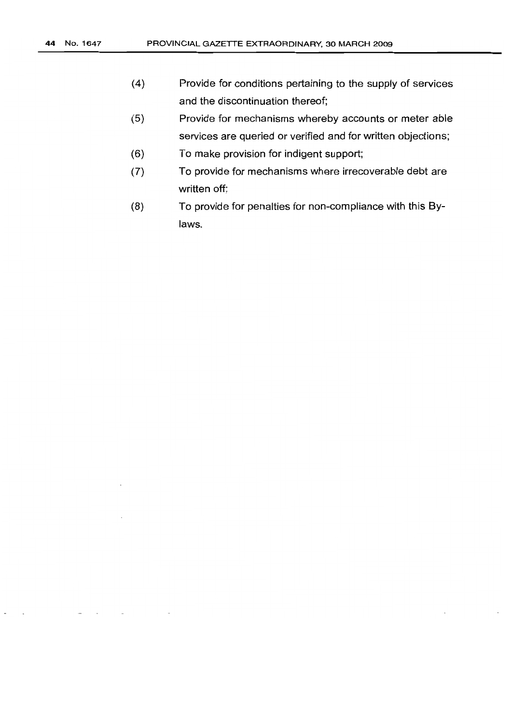- (4) Provide for conditions pertaining to the supply of services and the discontinuation thereof;
- (5) Provide for mechanisms whereby accounts or meter able services are queried or verified and for written objections;
- (6) To make provision for indigent support;
- (7) To provide for mechanisms where irrecoverable debt are written off;
- (8) To provide for penalties for non-compliance with this Bylaws.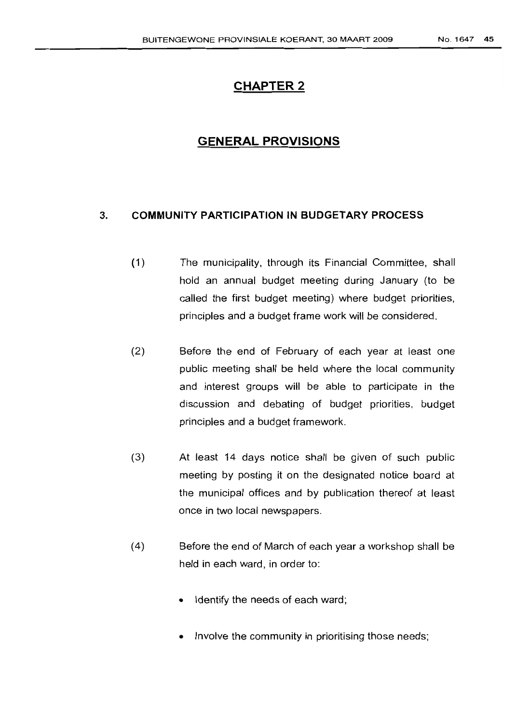# CHAPTER 2

# **GENERAL PROVISIONS**

#### 3. **COMMUNITY PARTICIPATION IN BUDGETARY PROCESS**

- (1) The municipality, through its Financial Committee, shall hold an annual budget meeting during January (to be called the first budget meeting) where budget priorities, principles and a budget frame work will be considered.
- (2) Before the end of February of each year at least one public meeting shall be held where the local community and interest groups will be able to participate in the discussion and debating of budget priorities, budget principles and a budget framework.
- (3) At least 14 days notice shall be given of such public meeting by posting it on the designated notice board at the municipal offices and by publication thereof at least once in two local newspapers.
- (4) Before the end of March of each year a workshop shall be held in each ward, in order to:
	- Identify the needs of each ward;
	- Involve the community in prioritising those needs;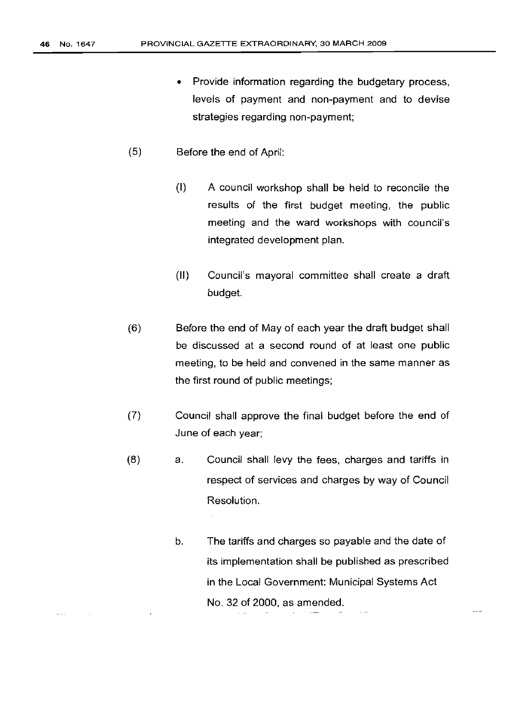- Provide information regarding the budgetary process, levels of payment and non-payment and to devise strategies regarding non-payment;
- (5) Before the end of April:
	- (I) A council workshop shall be held to reconcile the results of the first budget meeting, the public meeting and the ward workshops with council's integrated development plan.
	- (II) Council's mayoral committee shall create a draft budget.
- (6) Before the end of May of each year the draft budget shall be discussed at a second round of at least one public meeting, to be held and convened in the same manner as the first round of public meetings;
- (7) Council shall approve the final budget before the end of June of each year;
- (8) a. Council shall levy the fees, charges and tariffs in respect of services and charges by way of Council Resolution.
	- b. The tariffs and charges so payable and the date of its implementation shall be published as prescribed in the Local Government: Municipal Systems Act No. 32 of 2000, as amended.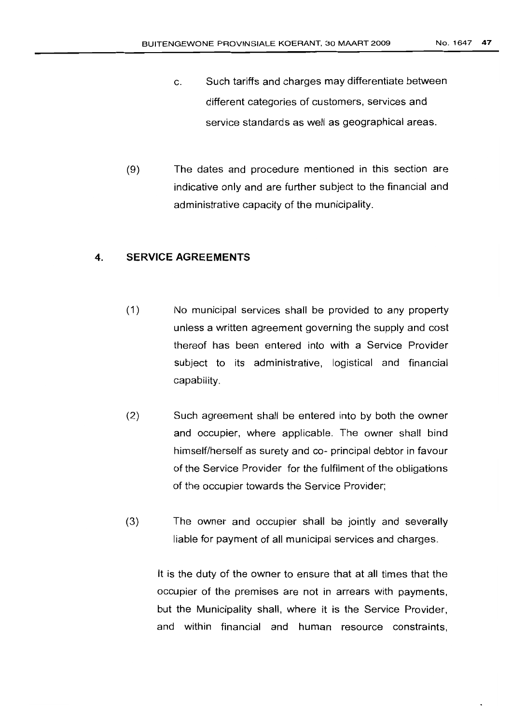- c. Such tariffs and charges may differentiate between different categories of customers, services and service standards as well as geographical areas.
- (9) The dates and procedure mentioned in this section are indicative only and are further subject to the financial and administrative capacity of the municipality.

#### 4. **SERVICE AGREEMENTS**

- (1) No municipal services shall be provided to any property unless a written agreement governing the supply and cost thereof has been entered into with a Service Provider subject to its administrative, logistical and financial capability.
- (2) Such agreement shall be entered into by both the owner and occupier, where applicable. The owner shall bind himself/herself as surety and co- principal debtor in favour of the Service Provider for the fulfilment of the obligations of the occupier towards the Service Provider;
- (3) The owner and occupier shall be jointly and severally liable for payment of all municipal services and charges.

It is the duty of the owner to ensure that at all times that the occupier of the premises are not in arrears with payments, but the Municipality shall, where it is the Service Provider, and within financial and human resource constraints,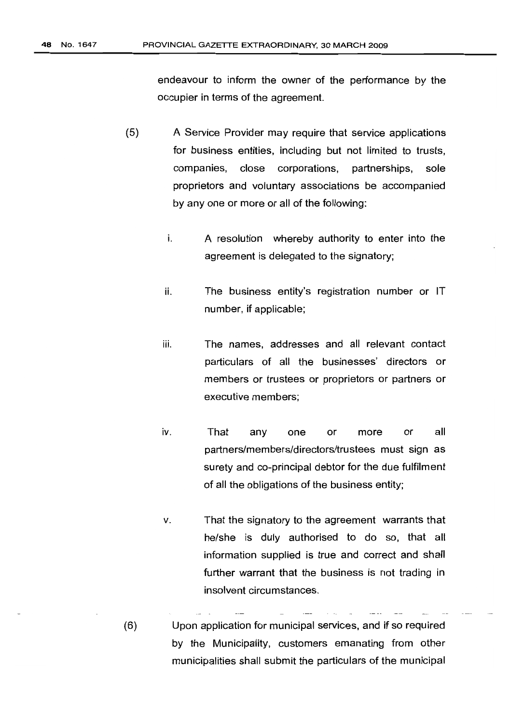endeavour to inform the owner of the performance by the occupier in terms of the agreement.

- (5) A Service Provider may require that service applications for business entities, including but not limited to trusts, companies, close corporations, partnerships, sole proprietors and voluntary associations be accompanied by any one or more or all of the following:
	- i. A resolution whereby authority to enter into the agreement is delegated to the signatory;
	- ii. The business entity's registration number or IT number, if applicable;
	- iii. The names, addresses and all relevant contact particulars of all the businesses' directors or members or trustees or proprietors or partners or executive members;
	- iv. That any one or more or all partners/members/directors/trustees must sign as surety and co-principal debtor for the due fulfilment of all the obligations of the business entity;
	- v. That the signatory to the agreement warrants that he/she is duly authorised to do so, that all information supplied is true and correct and shall further warrant that the business is not trading in insolvent circumstances.
- (6) Upon application for municipal services, and if so required by the Municipality, customers emanating from other municipalities shall submit the particulars of the municipal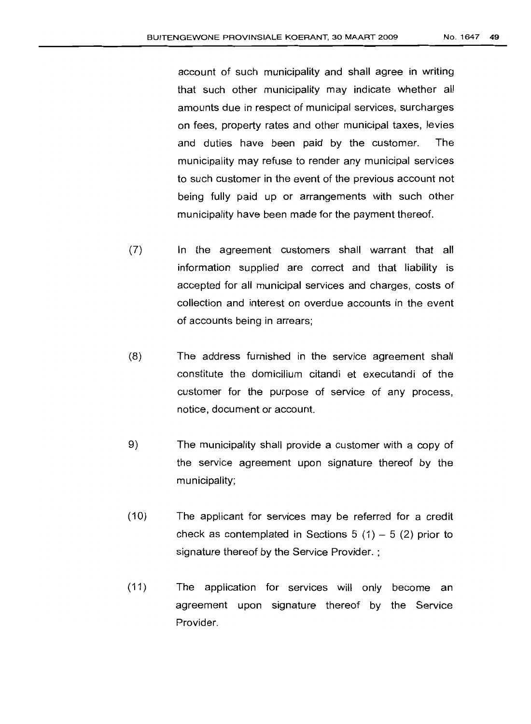account of such municipality and shall agree in writing that such other municipality may indicate whether all amounts due in respect of municipal services, surcharges on fees, property rates and other municipal taxes, levies and duties have been paid by the customer. The municipality may refuse to render any municipal services to such customer in the event of the previous account not being fully paid up or arrangements with such other municipality have been made for the payment thereof.

- (7) In the agreement customers shall warrant that all information supplied are correct and that liability is accepted for all municipal services and charges, costs of collection and interest on overdue accounts in the event of accounts being in arrears;
- (8) The address furnished in the service agreement shall constitute the domicilium citandi et executandi of the customer for the purpose of service of any process, notice, document or account.
- 9) The municipality shall provide a customer with a copy of the service agreement upon signature thereof by the municipality;
- $(10)$  The applicant for services may be referred for a credit check as contemplated in Sections  $5(1) - 5(2)$  prior to signature thereof by the Service Provider. ;
- (11) The application for services will only become an agreement upon signature thereof by the Service Provider.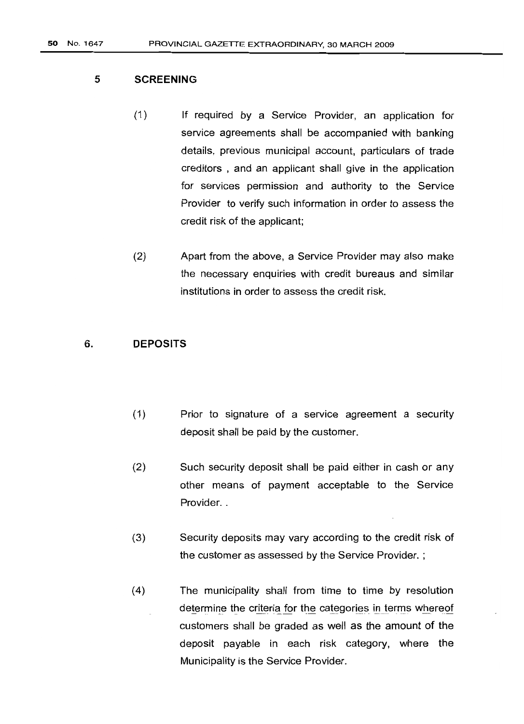#### 5 **SCREENING**

- (1) If required by a Service Provider, an application for service agreements shall be accompanied with banking details, previous municipal account, particulars of trade creditors , and an applicant shall give in the application for services permission and authority to the Service Provider to verify such information in order to assess the credit risk of the applicant;
- (2) Apart from the above, a Service Provider may also make the necessary enquiries with credit bureaus and similar institutions in order to assess the credit risk.

## 6. **DEPOSITS**

- (1) Prior to signature of a service agreement a security deposit shall be paid by the customer.
- (2) Such security deposit shall be paid either in cash or any other means of payment acceptable to the Service Provider..
- (3) Security deposits may vary according to the credit risk of the customer as assessed by the Service Provider. ;
- (4) The municipality shall from time to time by resolution determine the criteria for the categories in terms whereof customers shall be graded as well as the amount of the deposit payable in each risk category, where the Municipality is the Service Provider.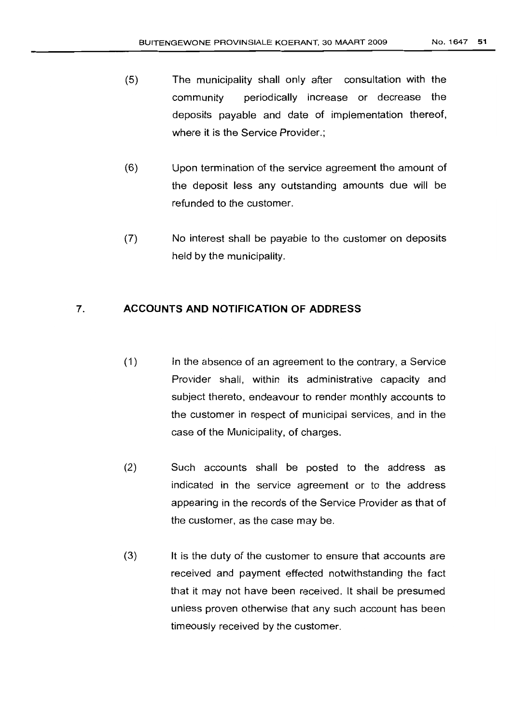- (5) The municipality shall only after consultation with the community periodically increase or decrease the deposits payable and date of implementation thereof, where it is the Service Provider.;
- (6) Upon termination of the service agreement the amount of the deposit less any outstanding amounts due will be refunded to the customer.
- (7) No interest shall be payable to the customer on deposits held by the municipality.

## 7. **ACCOUNTS AND NOTIFICATION OF ADDRESS**

- (1) In the absence of an agreement to the contrary, a Service Provider shall, within its administrative capacity and subject thereto, endeavour to render monthly accounts to the customer in respect of municipal services, and in the case of the Municipality, of charges.
- (2) Such accounts shall be posted to the address as indicated in the service agreement or to the address appearing in the records of the Service Provider as that of the customer, as the case may be.
- (3) It is the duty of the customer to ensure that accounts are received and payment effected notwithstanding the fact that it may not have been received. It shall be presumed unless proven otherwise that any such account has been timeously received by the customer.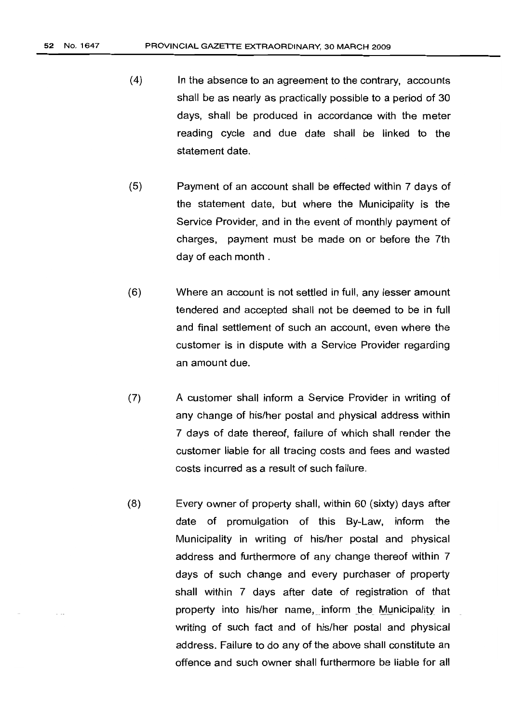- (4) In the absence to an agreement to the contrary, accounts shall be as nearly as practically possible to a period of 30 days, shall be produced in accordance with the meter reading cycle and due date shall be linked to the statement date.
- (5) Payment of an account shall be effected within 7 days of the statement date, but where the Municipality is the Service Provider, and in the event of monthly payment of charges, payment must be made on or before the 7th day of each month.
- (6) Where an account is not settled in full, any lesser amount tendered and accepted shall not be deemed to be in full and final settlement of such an account, even where the customer is in dispute with a Service Provider regarding an amount due.
- (7) A customer shall inform a Service Provider in writing of any change of his/her postal and physical address within 7 days of date thereof, failure of which shall render the customer liable for all tracing costs and fees and wasted costs incurred as a result of such failure.
- (8) Every owner of property shall, within 60 (sixty) days after date of promulgation of this By-Law, inform the Municipality in writing of his/her postal and physical address and furthermore of any change thereof within 7 days of such change and every purchaser of property shall within 7 days after date of registration of that property into his/her name, inform the Municipality in writing of such fact and of his/her postal and physical address. Failure to do any of the above shall constitute an offence and such owner shall furthermore be liable for all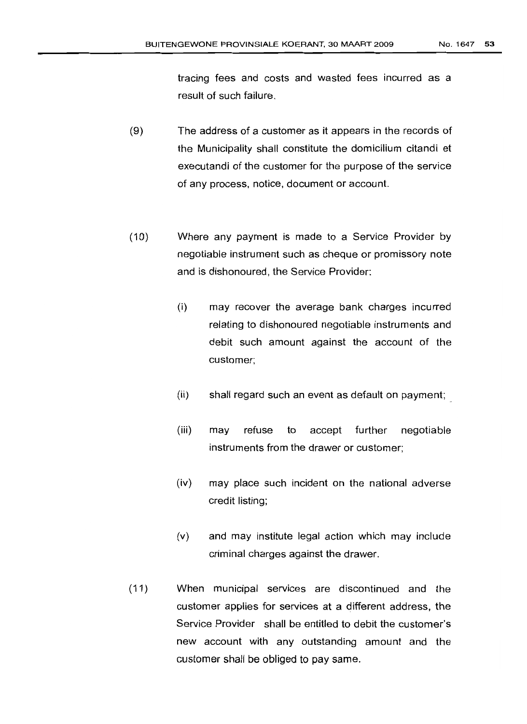tracing fees and costs and wasted fees incurred as a result of such failure.

- (9) The address of a customer as it appears in the records of the Municipality shall constitute the domicilium citandi et executandi of the customer for the purpose of the service of any process, notice, document or account.
- (10) Where any payment is made to a Service Provider by negotiable instrument such as cheque or promissory note and is dishonoured, the Service Provider:
	- (i) may recover the average bank charges incurred relating to dishonoured negotiable instruments and debit such amount against the account of the customer;
	- (ii) shall regard such an event as default on payment;
	- (iii) may refuse to accept further negotiable instruments from the drawer or customer;
	- (iv) may place such incident on the national adverse credit listing;
	- (v) and may institute legal action which may include criminal charges against the drawer.
- (11) When municipal services are discontinued and the customer applies for services at a different address, the Service Provider shall be entitled to debit the customer's new account with any outstanding amount and the customer shall be obliged to pay same.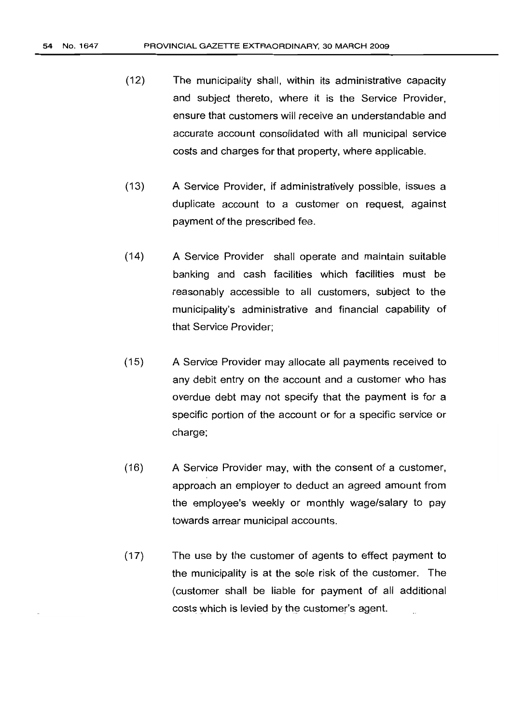- (12) The municipality shall, within its administrative capacity and subject thereto, where it is the Service Provider, ensure that customers will receive an understandable and accurate account consolidated with all municipal service costs and charges for that property, where applicable.
- (13) A Service Provider, if administratively possible, issues a duplicate account to a customer on request, against payment of the prescribed fee.
- (14) A Service Provider shall operate and maintain suitable banking and cash facilities which facilities must be reasonably accessible to all customers, subject to the municipality's administrative and financial capability of that Service Provider;
- (15) A Service Provider may allocate all payments received to any debit entry on the account and a customer who has overdue debt may not specify that the payment is for a specific portion of the account or for a specific service or charge:
- (16) A Service Provider may, with the consent of a customer, approach an employer to deduct an agreed amount from the employee's weekly or monthly wage/salary to pay towards arrear municipal accounts.
- (17) The use by the customer of agents to effect payment to the municipality is at the sole risk of the customer. The (customer shall be liable for payment of all additional costs which is levied by the customer's agent.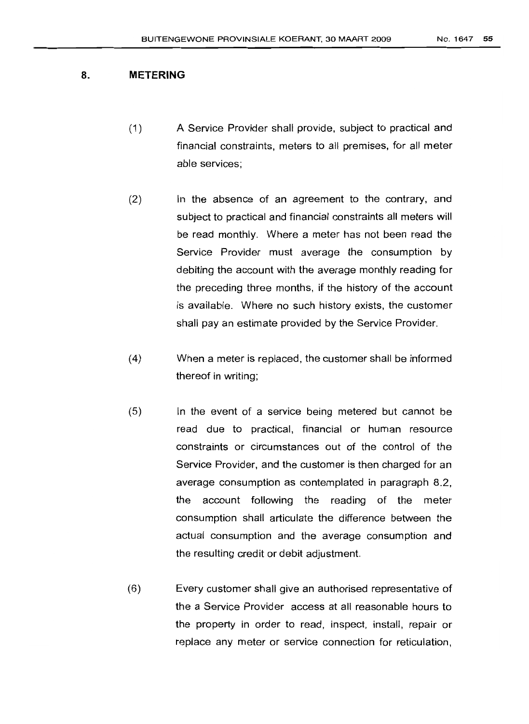## 8. **METERING**

- (1) A Service Provider shall provide, subject to practical and financial constraints, meters to all premises, for all meter able services;
- (2) In the absence of an agreement to the contrary, and subject to practical and financial constraints all meters will be read monthly. Where a meter has not been read the Service Provider must average the consumption by debiting the account with the average monthly reading for the preceding three months, if the history of the account is available. Where no such history exists, the customer shall pay an estimate provided by the Service Provider.
- (4) When a meter is replaced, the customer shall be informed thereof in writing;
- (5) In the event of a service being metered but cannot be read due to practical, financial or human resource constraints or circumstances out of the control of the Service Provider, and the customer is then charged for an average consumption as contemplated in paragraph 8.2, the account following the reading of the meter consumption shall articulate the difference between the actual consumption and the average consumption and the resulting credit or debit adjustment.
- (6) Every customer shall give an authorised representative of the a Service Provider access at all reasonable hours to the property in order to read, inspect, install, repair or replace any meter or service connection for reticulation,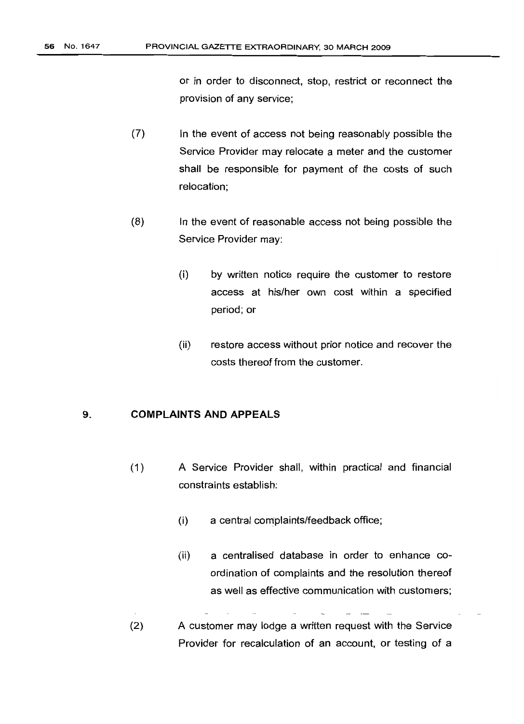or in order to disconnect, stop, restrict or reconnect the provision of any service;

- (7) In the event of access not being reasonably possible the Service Provider may relocate a meter and the customer shall be responsible for payment of the costs of such relocation;
- (8) In the event of reasonable access not being possible the Service Provider may:
	- (i) by written notice require the customer to restore access at his/her own cost within a specified period; or
	- (ii) restore access without prior notice and recover the costs thereof from the customer.

# 9. **COMPLAINTS AND APPEALS**

- (1) A Service Provider shall, within practical and financial constraints establish:
	- (i) a central complaints/feedback office;
	- (ii) a centralised database in order to enhance coordination of complaints and the resolution thereof as well as effective communication with customers;
- (2) A customer may lodge a written request with the Service Provider for recalculation of an account, or testing of a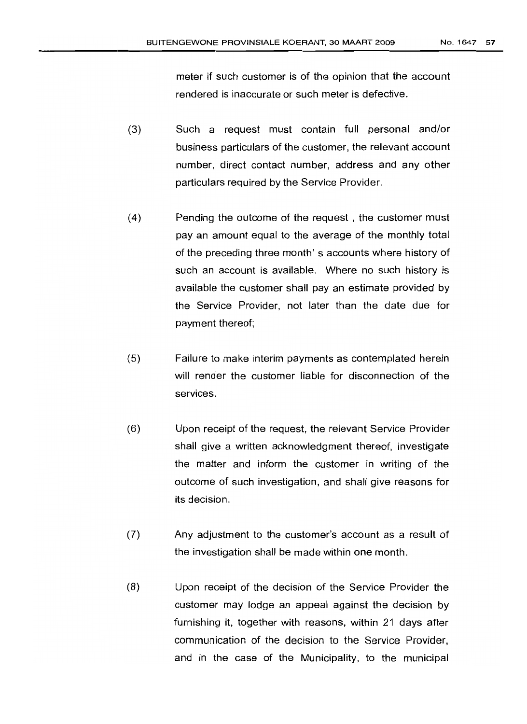meter if such customer is of the opinion that the account rendered is inaccurate or such meter is defective.

- (3) Such a request must contain full personal and/or business particulars of the customer, the relevant account number, direct contact number, address and any other particulars required by the Service Provider.
- (4) Pending the outcome of the request, the customer must pay an amount equal to the average of the monthly total of the preceding three month's accounts where history of such an account is available. Where no such history is available the customer shall pay an estimate provided by the Service Provider, not later than the date due for payment thereof;
- (5) Failure to make interim payments as contemplated herein will render the customer liable for disconnection of the services.
- (6) Upon receipt of the request, the relevant Service Provider shall give a written acknowledgment thereof, investigate the matter and inform the customer in writing of the outcome of such investigation, and shall give reasons for its decision.
- (7) Any adjustment to the customer's account as a result of the investigation shall be made within one month.
- (8) Upon receipt of the decision of the Service Provider the customer may lodge an appeal against the decision by furnishing it, together with reasons, within 21 days after communication of the decision to the Service Provider, and in the case of the Municipality, to the municipal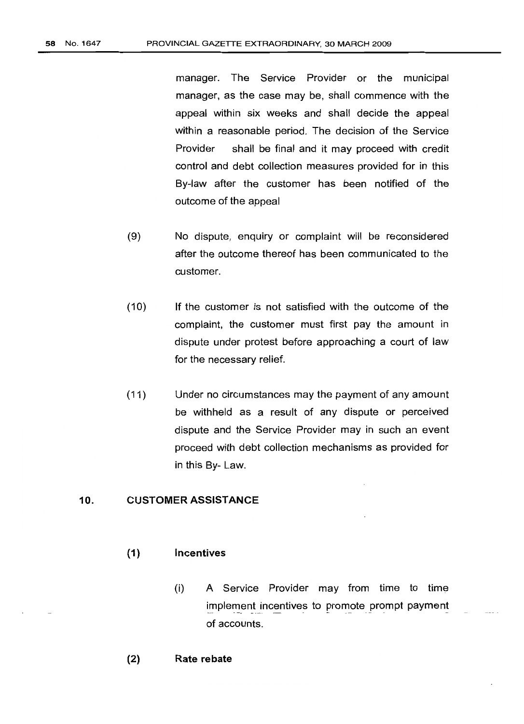manager. The Service Provider or the municipal manager, as the case may be, shall commence with the appeal within six weeks and shall decide the appeal within a reasonable period. The decision of the Service Provider shall be final and it may proceed with credit control and debt collection measures provided for in this By-law after the customer has been notified of the outcome of the appeal

- (9) 10 No dispute, enquiry or complaint will be reconsidered after the outcome thereof has been communicated to the customer.
- (10) If the customer is not satisfied with the outcome of the complaint, the customer must first pay the amount in dispute under protest before approaching a court of law for the necessary relief.
- (11) Under no circumstances may the payment of any amount be withheld as a result of any dispute or perceived dispute and the Service Provider may in such an event proceed with debt collection mechanisms as provided for in this By- Law.

#### 10. CUSTOMER ASSISTANCE

#### (1) Incentives

- (i) A Service Provider may from time to time implement incentives to promote prompt payment of accounts.
- (2) Rate rebate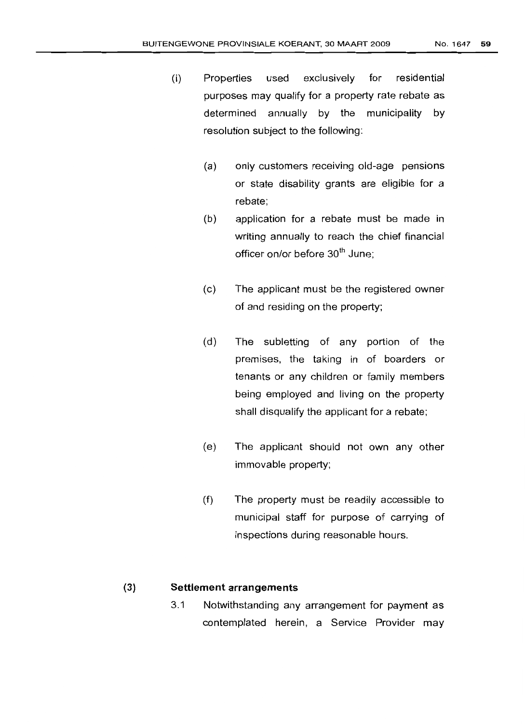- (i) Properties used exclusively for residential purposes may qualify for a property rate rebate as determined annually by the municipality by resolution subject to the following:
	- (a) only customers receiving old-age pensions or state disability grants are eligible for a rebate;
	- (b) application for a rebate must be made in writing annually to reach the chief financial officer on/or before 30<sup>th</sup> June;
	- (c) The applicant must be the registered owner of and residing on the property;
	- (d) The subletting of any portion of the premises, the taking in of boarders or tenants or any children or family members being employed and living on the property shall disqualify the applicant for a rebate;
	- (e) The applicant should not own any other immovable property;
	- (f) The property must be readily accessible to municipal staff for purpose of carrying of inspections during reasonable hours.

#### (3) **Settlement arrangements**

3.1 Notwithstanding any arrangement for payment as contemplated herein, a Service Provider may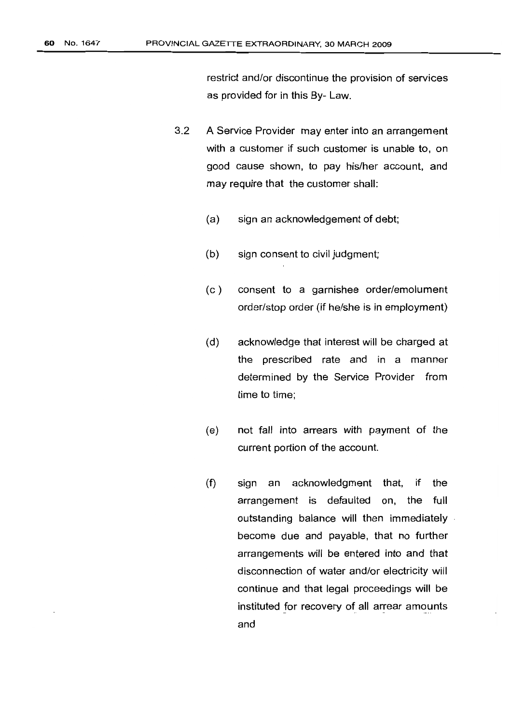restrict and/or discontinue the provision of services as provided for in this By- Law.

- 3.2 A Service Provider may enter into an arrangement with a customer if such customer is unable to, on good cause shown, to pay his/her account, and may require that the customer shall:
	- (a) sign an acknowledgement of debt;
	- (b) sign consent to civil judgment;
	- (c ) consent to a garnishee order/emolument order/stop order (if he/she is in employment)
	- (d) acknowledge that interest will be charged at the prescribed rate and in a manner determined by the Service Provider from time to time;
	- (e) not fall into arrears with payment of the current portion of the account.
	- (f) sign an acknowledgment that, if the arrangement is defaulted on, the full outstanding balance will then immediately become due and payable, that no further arrangements will be entered into and that disconnection of water and/or electricity will continue and that legal proceedings will be instituted for recovery of all arrear amounts and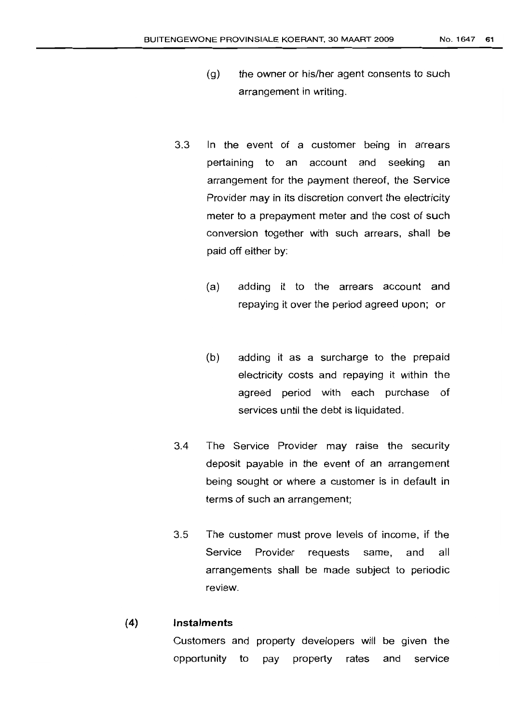- (g) the owner or his/her agent consents to such arrangement in writing.
- 3.3 In the event of a customer being in arrears pertaining to an account and seeking an arrangement for the payment thereof, the Service Provider may in its discretion convert the electricity meter to a prepayment meter and the cost of such conversion together with such arrears, shall be paid off either by:
	- (a) adding it to the arrears account and repaying it over the period agreed upon; or
	- (b) adding it as a surcharge to the prepaid electricity costs and repaying *it* within the agreed period with each purchase of services until the debt is liquidated.
- 3.4 The Service Provider may raise the security deposit payable in the event of an arrangement being sought or where a customer is in default in terms of such an arrangement;
- 3.5 The customer must prove levels of income, if the Service Provider requests same, and all arrangements shall be made subject to periodic review.

## (4) **Instalments**

Customers and property developers will be given the opportunity to pay property rates and service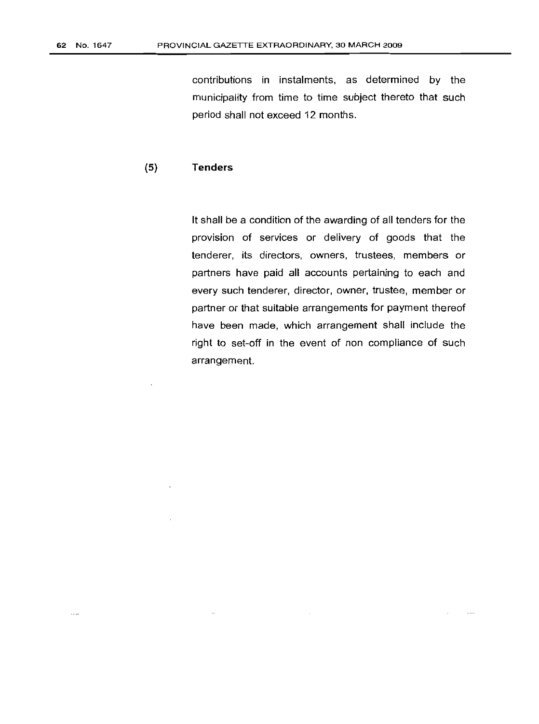contributions in instalments, as determined by the municipality from time to time subject thereto that such period shall not exceed 12 months.

#### (5) **Tenders**

It shall be a condition of the awarding of all tenders for the provision of services or delivery of goods that the tenderer, its directors, owners, trustees, members or partners have paid all accounts pertaining to each and every such tenderer, director, owner, trustee, member or partner or that suitable arrangements for payment thereof have been made, which arrangement shall include the right to set-off in the event of non compliance of such arrangement.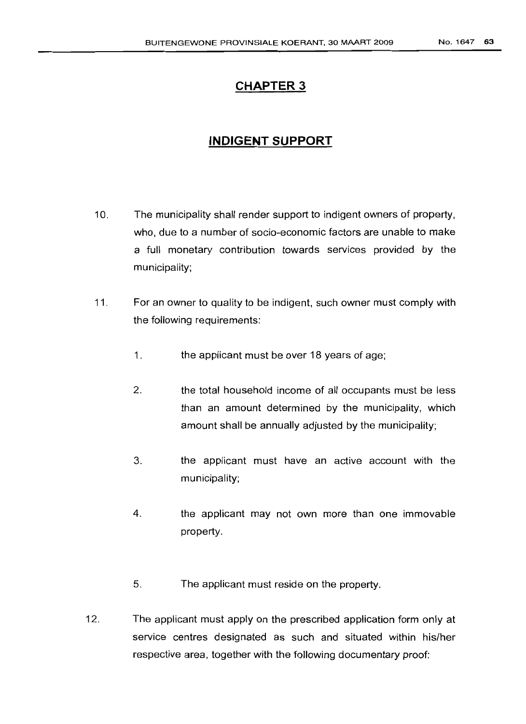# **CHAPTER 3**

# **INDIGENT SUPPORT**

- 10. The municipality shall render support to indigent owners of property, who, due to a number of socio-economic factors are unable to make a full monetary contribution towards services provided by the municipality;
- 11. For an owner to quality to be indigent, such owner must comply with the following requirements:
	- 1. the applicant must be over 18 years of age;
	- 2. the total household income of all occupants must be less than an amount determined by the municipality, which amount shall be annually adjusted by the municipality;
	- 3. the applicant must have an active account with the municipality;
	- 4. the applicant may not own more than one immovable property.
	- 5. The applicant must reside on the property.
- 12. The applicant must apply on the prescribed application form only at service centres designated as such and situated within his/her respective area, together with the following documentary proof: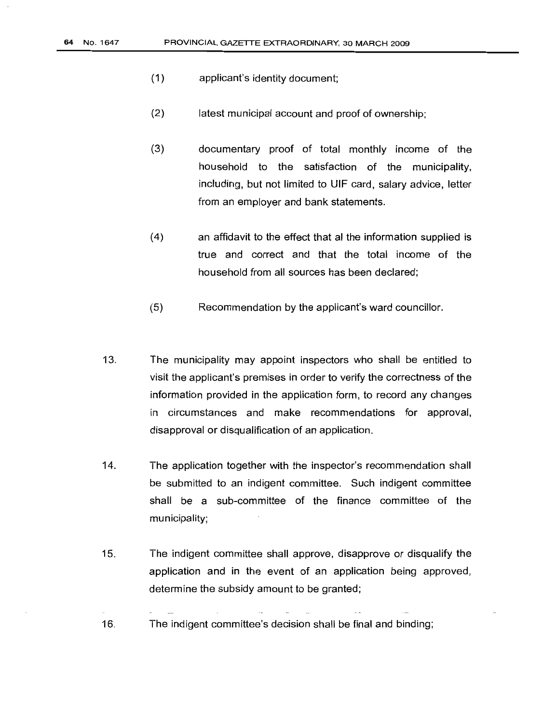- (1) applicant's identity document;
- (2) latest municipal account and proof of ownership;
- (3) documentary proof of total monthly income of the household to the satisfaction of the municipality, including, but not limited to UIF card, salary advice, letter from an employer and bank statements.
- (4) an affidavit to the effect that al the information supplied is true and correct and that the total income of the household from all sources has been declared;
- (5) Recommendation by the applicant's ward councillor.
- 13. The municipality may appoint inspectors who shall be entitled to visit the applicant's premises in order to verify the correctness of the information provided in the application form, to record any changes in circumstances and make recommendations for approval, disapproval or disqualification of an application.
- 14. The application together with the inspector's recommendation shall be submitted to an indigent committee. Such indigent committee shall be a sub-committee of the finance committee of the municipality;
- 15. The indigent committee shall approve, disapprove or disqualify the application and in the event of an application being approved, determine the subsidy amount to be granted;
- 16. The indigent committee's decision shall be final and binding;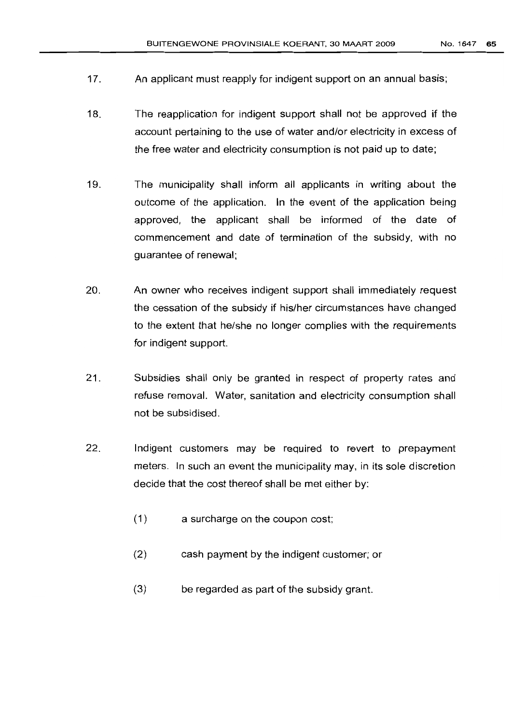- 17. An applicant must reapply for indigent support on an annual basis;
- 18. The reapplication for indigent support shall not be approved if the account pertaining to the use of water and/or electricity in excess of the free water and electricity consumption is not paid up to date;
- 19. The municipality shall inform all applicants in writing about the outcome of the application. **In** the event of the application being approved, the applicant shall be informed of the date of commencement and date of termination of the subsidy, with no guarantee of renewal;
- 20. An owner who receives indigent support shall immediately request the cessation of the subsidy if his/her circumstances have changed to the extent that he/she no longer complies with the requirements for indigent support.
- 21. Subsidies shall only be granted in respect of property rates and refuse removal. Water, sanitation and electricity consumption shall not be subsidised.
- 22. Indigent customers may be required to revert to prepayment meters. In such an event the municipality may, in its sole discretion decide that the cost thereof shall be met either by:
	- (1) a surcharge on the coupon cost;
	- (2) cash payment by the indigent customer; or
	- (3) be regarded as part of the subsidy grant.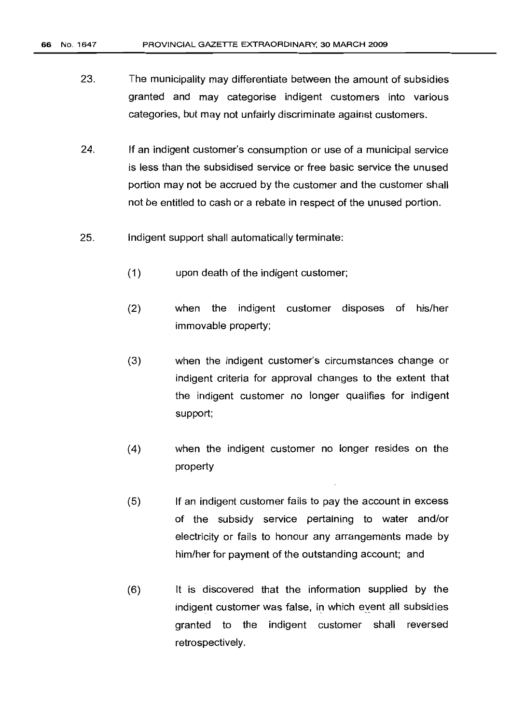- 23. The municipality may differentiate between the amount of subsidies granted and may categorise indigent customers into various categories, but may not unfairly discriminate against customers.
- 24. If an indigent customer's consumption or use of a municipal service is less than the subsidised service or free basic service the unused portion may not be accrued by the customer and the customer shall not be entitled to cash or a rebate in respect of the unused portion.
- 25. Indigent support shall automatically terminate:
	- (1) upon death of the indigent customer;
	- (2) when the indigent customer disposes of his/her immovable property;
	- (3) when the indigent customer's circumstances change or indigent criteria for approval changes to the extent that the indigent customer no longer qualifies for indigent support;
	- (4) when the indigent customer no longer resides on the property
	- (5) If an indigent customer fails to pay the account in excess of the subsidy service pertaining to water and/or electricity or fails to honour any arrangements made by him/her for payment of the outstanding account; and
	- (6) It is discovered that the information supplied by the indigent customer was false, in which event all subsidies granted to the indigent customer shall reversed retrospectively.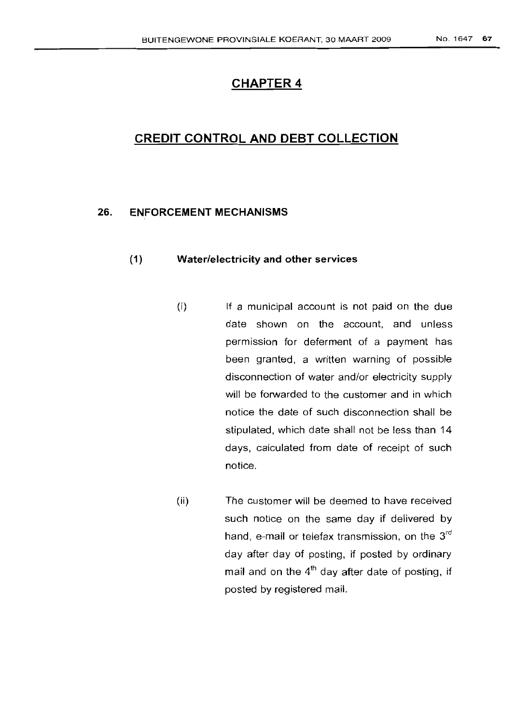# **CHAPTER 4**

# **CREDIT CONTROL AND DEBT COLLECTION**

#### 26. **ENFORCEMENT MECHANISMS**

#### **(1) Water/electricity and other services**

- (i) If a municipal account is not paid on the due date shown on the account, and unless permission for deferment of a payment has been granted, a written warning of possible disconnection of water and/or electricity supply will be forwarded to the customer and in which notice the date of such disconnection shall be stipulated, which date shall not be less than 14 days, calculated from date of receipt of such notice.
- (ii) The customer will be deemed to have received such notice on the same day if delivered by hand, e-mail or telefax transmission, on the 3<sup>rd</sup> day after day of posting, if posted by ordinary mail and on the  $4<sup>th</sup>$  day after date of posting, if posted by registered mail.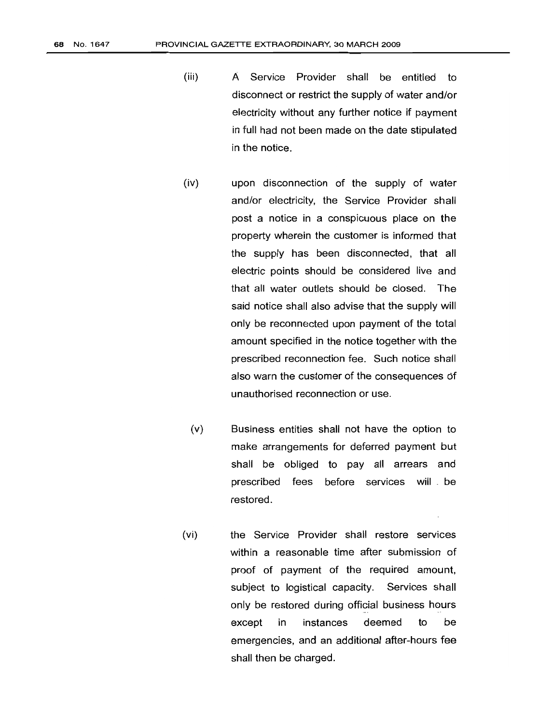- (iii) A Service Provider shall be entitled to disconnect or restrict the supply of water and/or electricity without any further notice if payment in full had not been made on the date stipulated in the notice.
- (iv) upon disconnection of the supply of water and/or electricity, the Service Provider shall post a notice in a conspicuous place on the property wherein the customer is informed that the supply has been disconnected, that all electric points should be considered live and that all water outlets should be closed. The said notice shall also advise that the supply will only be reconnected upon payment of the total amount specified in the notice together with the prescribed reconnection fee. Such notice shall also warn the customer of the consequences of unauthorised reconnection or use.
- (v) Business entities shall not have the option to make arrangements for deferred payment but shall be obliged to pay all arrears and prescribed fees before services will be restored.
- (vi) the Service Provider shall restore services within a reasonable time after submission of proof of payment of the required amount, subject to logistical capacity. Services shall only be restored during official business hours except in instances deemed to be emergencies, and an additional after-hours fee shall then be charged.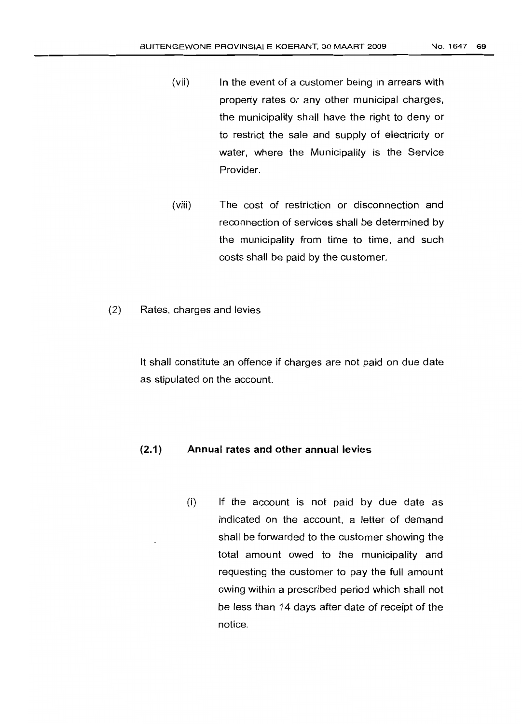- (vii) In the event of a customer being in arrears with property rates or any other municipal charges, the municipality shall have the right to deny or to restrict the sale and supply of electricity or water, where the Municipality is the Service Provider.
- (viii) The cost of restriction or disconnection and reconnection of services shall be determined by the municipality from time to time, and such costs shall be paid by the customer.
- (2) Rates, charges and levies

It shall constitute an offence if charges are not paid on due date as stipulated on the account.

## (2.1) Annual rates and other annual levies

(i) If the account is not paid by due date as indicated on the account, a letter of demand shall be forwarded to the customer showing the total amount owed to the municipality and requesting the customer to pay the full amount owing within a prescribed period which shall not be less than 14 days after date of receipt of the notice.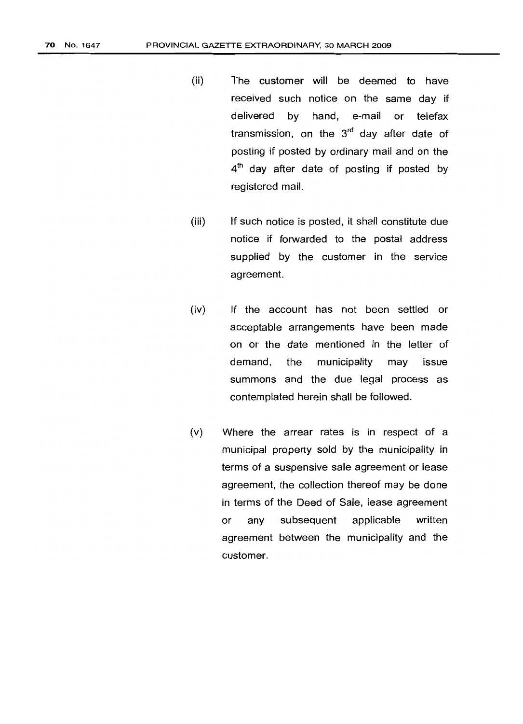- (ii) The customer will be deemed to have received such notice on the same day if delivered by hand, e-mail or telefax transmission, on the  $3<sup>rd</sup>$  day after date of posting if posted by ordinary mail and on the 4<sup>th</sup> day after date of posting if posted by registered mail.
- (iii) If such notice is posted, it shall constitute due notice if forwarded to the postal address supplied by the customer in the service agreement.
- (iv) If the account has not been settled or acceptable arrangements have been made on or the date mentioned in the letter of demand, the municipality may issue summons and the due legal process as contemplated herein shall be followed.
- (v) Where the arrear rates is in respect of a municipal property sold by the municipality in terms of a suspensive sale agreement or lease agreement, the collection thereof may be done in terms of the Deed of Sale, lease agreement or any subsequent applicable written agreement between the municipality and the customer.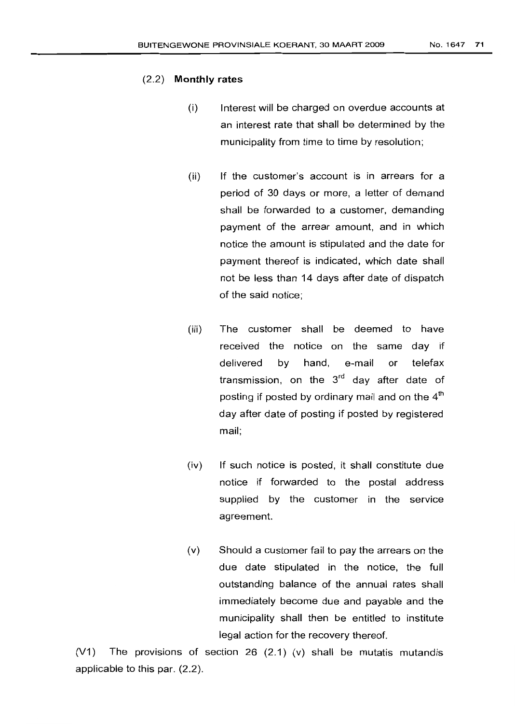#### (2.2) **Monthly rates**

- (i) Interest will be charged on overdue accounts at an interest rate that shall be determined by the municipality from time to time by resolution;
- (ii) If the customer's account is in arrears for a period of 30 days or more, a letter of demand shall be forwarded to a customer, demanding payment of the arrear amount, and in which notice the amount is stipulated and the date for payment thereof is indicated, which date shall not be less than 14 days after date of dispatch of the said notice;
- (iii) The customer shall be deemed to have received the notice on the same day if delivered by hand, e-mail or telefax transmission, on the  $3<sup>rd</sup>$  day after date of posting if posted by ordinary mail and on the  $4<sup>th</sup>$ day after date of posting if posted by registered mail;
- (iv) If such notice is posted, it shall constitute due notice if forwarded to the postal address supplied by the customer in the service agreement.
- (v) Should a customer fail to pay the arrears on the due date stipulated in the notice, the full outstanding balance of the annual rates shall immediately become due and payable and the municipality shall then be entitled to institute legal action for the recovery thereof.

(V1) The provisions of section 26 (2.1) (v) shall be mutatis mutandis applicable to this par. (2.2).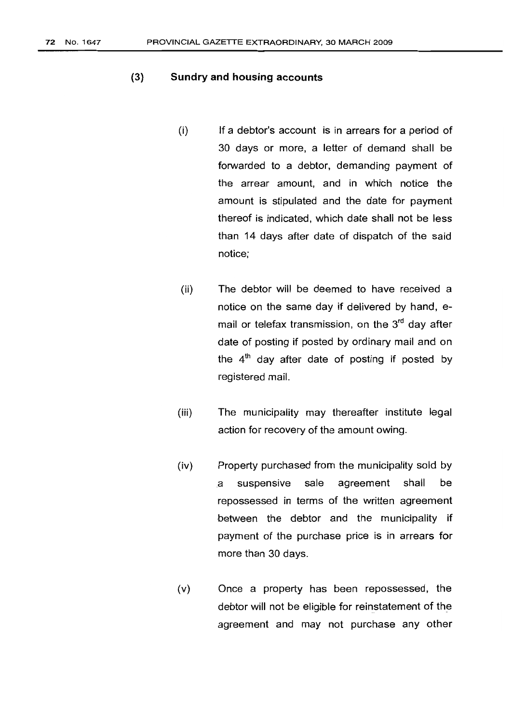#### (3) **Sundry and housing accounts**

- (i) If a debtor's account is in arrears for a period of 30 days or more, a letter of demand shall be forwarded to a debtor, demanding payment of the arrear amount, and in which notice the amount is stipulated and the date for payment thereof is indicated, which date shall not be less than 14 days after date of dispatch of the said notice;
- (ii) The debtor will be deemed to have received a notice on the same day if delivered by hand, email or telefax transmission, on the  $3<sup>rd</sup>$  day after date of posting if posted by ordinary mail and on the  $4<sup>th</sup>$  day after date of posting if posted by registered mail.
- (iii) The municipality may thereafter institute legal action for recovery of the amount owing.
- (iv) Property purchased from the municipality sold by a suspensive sale agreement shall be repossessed in terms of the written agreement between the debtor and the municipality if payment of the purchase price is in arrears for more than 30 days.
- (v) Once a property has been repossessed, the debtor will not be eligible for reinstatement of the agreement and may not purchase any other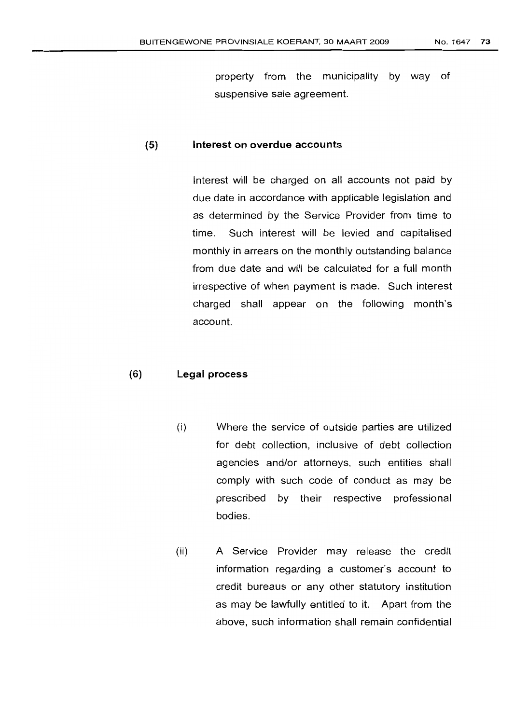property from the municipality by way of suspensive sale agreement.

# (5) Interest on overdue accounts

Interest will be charged on all accounts not paid by due date in accordance with applicable legislation and as determined by the Service Provider from time to time. Such interest will be levied and capitalised monthly in arrears on the monthly outstanding balance from due date and will be calculated for a full month irrespective of when payment is made. Such interest charged shall appear on the following month's account.

### (6) Legal process

- (i) Where the service of outside parties are utilized for debt collection, inclusive of debt collection agencies and/or attorneys, such entities shall comply with such code of conduct as may be prescribed by their respective professional bodies.
- (ii) A Service Provider may release the credit information regarding a customer's account to credit bureaus or any other statutory institution as may be lawfully entitled to it. Apart from the above, such information shall remain confidential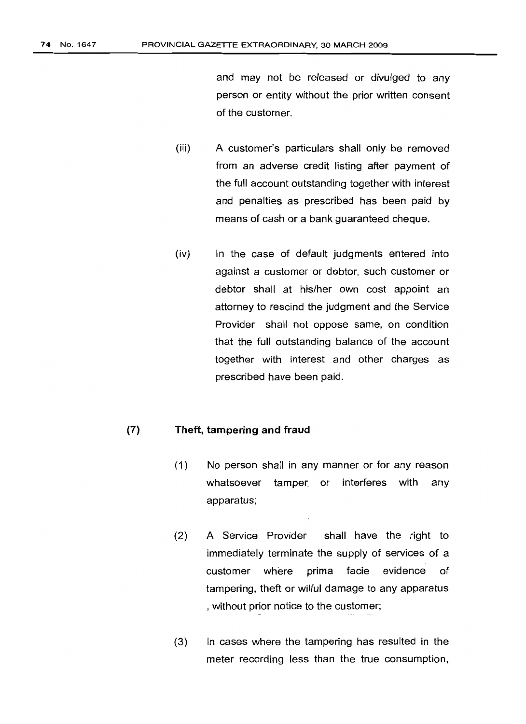and may not be released or divulged to any person or entity without the prior written consent of the customer.

- (iii) A customer's particulars shall only be removed from an adverse credit listing after payment of the full account outstanding together with interest and penalties as prescribed has been paid by means of cash or a bank guaranteed cheque.
- (iv) In the case of default judgments entered into against a customer or debtor, such customer or debtor shall at his/her own cost appoint an attorney to rescind the judgment and the Service Provider shall not oppose same, on condition that the full outstanding balance of the account together with interest and other charges as prescribed have been paid.

## (7) Theft, tampering and fraud

- (1) No person shall in any manner or for any reason whatsoever tamper. or interferes with any apparatus;
- (2) A Service Provider shall have the right to immediately terminate the supply of services of a customer where prima facie evidence of tampering, theft or wilful damage to any apparatus , without prior notice to the customer;
- (3) ln cases where the tampering has resulted in the meter recording less than the true consumption.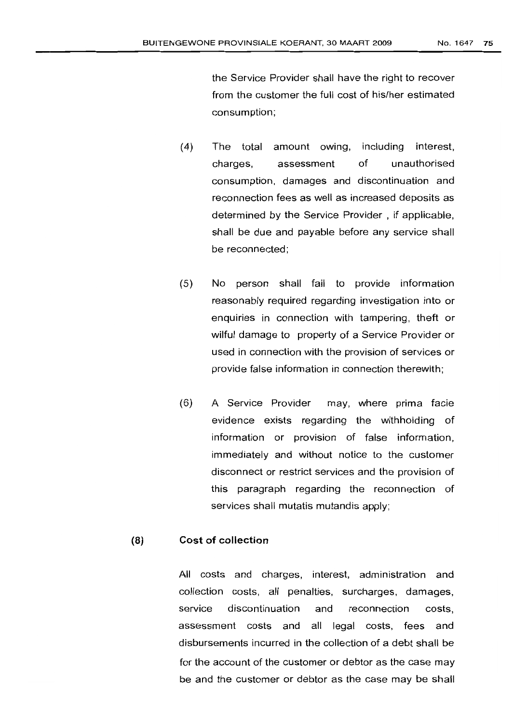the Service Provider shall have the right to recover from the customer the full cost of his/her estimated consumption;

- (4) The total amount owing, including interest, charges, assessment of unauthorised consumption, damages and discontinuation and reconnection fees as well as increased deposits as determined by the Service Provider, if applicable, shall be due and payable before any service shall be reconnected;
- (5) No person shall fail to provide information reasonably required regarding investigation into or enquiries in connection with tampering, theft or wilful damage to property of a Service Provider or used in connection with the provision of services or provide false information in connection therewith;
- (6) A Service Provider may, where prima facie evidence exists regarding the withholding of information or provision of false information, immediately and without notice to the customer disconnect or restrict services and the provision of this paragraph regarding the reconnection of services shall mutatis mutandis apply;

### (8) Cost of collection

All costs and charges, interest, administration and collection costs, all penalties, surcharges, damages, service discontinuation and reconnection costs, assessment costs and all legal costs, fees and disbursements incurred in the collection of a debt shall be for the account of the customer or debtor as the case may be and the customer or debtor as the case may be shall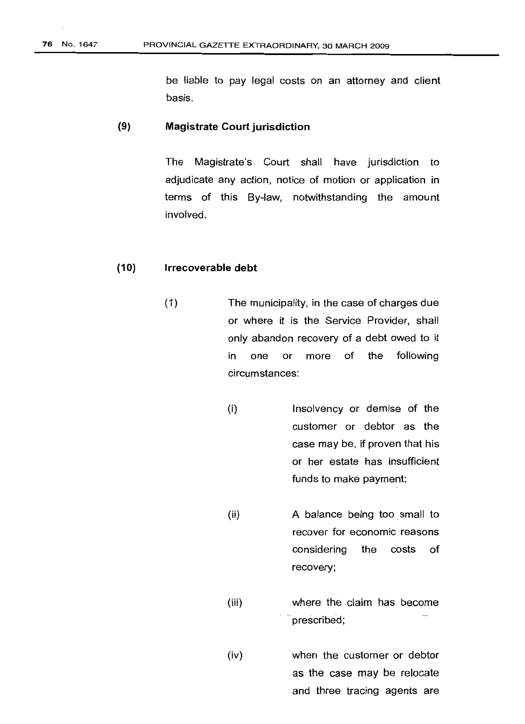be liable to pay legal costs on an attorney and client basis.

#### (9) **Magistrate Court jurisdiction**

The Magistrate's Court shall have jurisdiction to adjudicate any action, notice of motion or application in terms of this By-law. notwithstanding the amount involved.

#### (10) **Irrecoverable debt**

- (1 ) The municipality, in the case of charges due or where it is the Service Provider, shall only abandon recovery of a debt owed to it in one or more of the following circumstances:
	- (i) Insolvency or demise of the customer or debtor as the case may be, if proven that his or her estate has insufficient funds to make payment;
		- (ii) A balance being too. small to recover for economic reasons considering the costs of recovery;
		- (iii) where the claim has become prescribed;
		- (iv) when the customer or debtor as the case may be relocate and three tracing agents are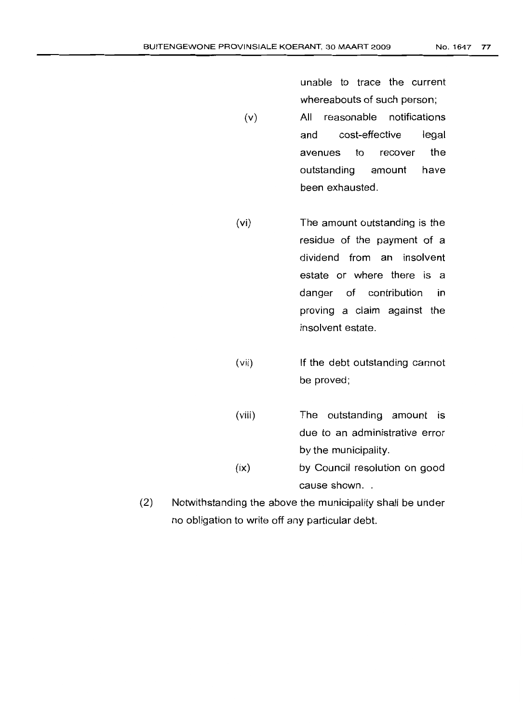unable to trace the current whereabouts of such person;

- (v) All reasonable notifications and cost-effective legal avenues to recover the outstanding amount have been exhausted.
- (vi) The amount outstanding is the residue of the payment of a dividend from an insolvent estate or where there is a danger of contribution in proving a claim against the insolvent estate.
- (vii) If the debt outstanding cannot be proved;
- (viii) The outstanding amount is due to an administrative error by the municipality.
- (ix) by Council resolution on good cause shown..
- (2) Notwithstanding the above the municipality shall be under no obligation to write off any particular debt.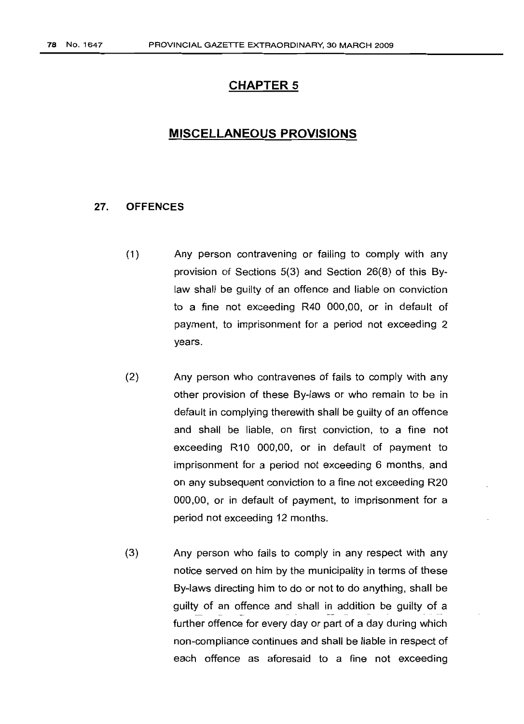# **CHAPTER 5**

# **MISCELLANEOUS PROVISIONS**

#### 27. OFFENCES

- (1) Any person contravening or failing to comply with any provision of Sections 5(3) and Section 26(8) of this Bylaw shall be guilty of an offence and liable on conviction to a fine not exceeding R40 000,00, or in default of payment, to imprisonment for a period not exceeding 2 years.
- (2) Any person who contravenes of fails to comply with any other provision of these By-laws or who remain to be in default in complying therewith shall be guilty of an offence and shall be liable, on first conviction, to a fine not exceeding RiO 000,00, or in default of payment to imprisonment for a period not exceeding 6 months, and on any subsequent conviction to a fine not exceeding R20 000,00, or in default of payment, to imprisonment for a period not exceeding 12 months.
- (3) Any person who fails to comply in any respect with any notice served on him by the municipality in terms of these By-laws directing him to do or not to do anything, shall be guilty of an offence and shall in addition be guilty of a further offence for every day or part of a day during which non-compliance continues and shall be liable in respect of each offence as aforesaid to a fine not exceeding